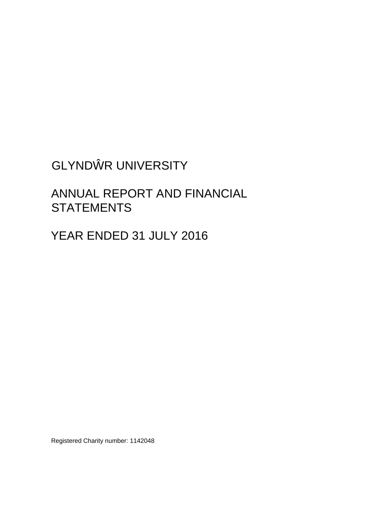# GLYND R UNIVERSITY

# ANNUAL REPORT AND FINANCIAL **STATEMENTS**

YEAR ENDED 31 JULY 2016

Registered Charity number: 1142048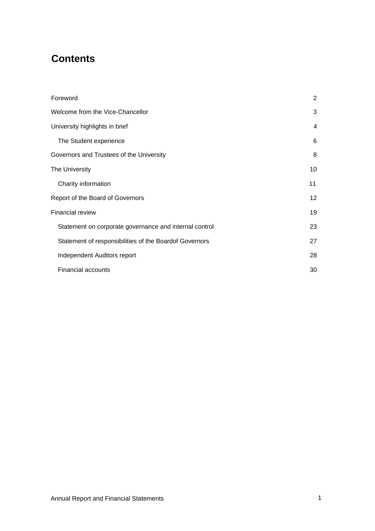# **Contents**

| Foreword                                               | 2               |
|--------------------------------------------------------|-----------------|
| Welcome from the Vice-Chancellor                       | 3               |
| University highlights in brief                         | 4               |
| The Student experience                                 | 6               |
| Governors and Trustees of the University               | 8               |
| The University                                         | 10              |
| Charity information                                    | 11              |
| Report of the Board of Governors                       | 12 <sup>2</sup> |
| Financial review                                       | 19              |
| Statement on corporate governance and internal control | 23              |
| Statement of responsibilities of the Boardof Governors | 27              |
| Independent Auditors report                            | 28              |
| <b>Financial accounts</b>                              | 30              |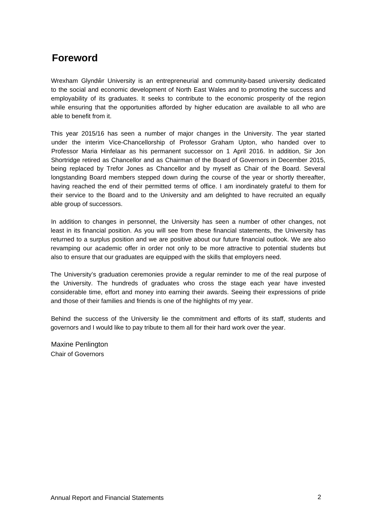# <span id="page-2-0"></span>**Foreword**

Wrexham Glynd r University is an entrepreneurial and community-based university dedicated to the social and economic development of North East Wales and to promoting the success and employability of its graduates. It seeks to contribute to the economic prosperity of the region while ensuring that the opportunities afforded by higher education are available to all who are able to benefit from it.

This year 2015/16 has seen a number of major changes in the University. The year started under the interim Vice-Chancellorship of Professor Graham Upton, who handed over to Professor Maria Hinfelaar as his permanent successor on 1 April 2016. In addition, Sir Jon Shortridge retired as Chancellor and as Chairman of the Board of Governors in December 2015, being replaced by Trefor Jones as Chancellor and by myself as Chair of the Board. Several longstanding Board members stepped down during the course of the year or shortly thereafter, having reached the end of their permitted terms of office. I am inordinately grateful to them for their service to the Board and to the University and am delighted to have recruited an equally able group of successors.

In addition to changes in personnel, the University has seen a number of other changes, not least in its financial position. As you will see from these financial statements, the University has returned to a surplus position and we are positive about our future financial outlook. We are also revamping our academic offer in order not only to be more attractive to potential students but also to ensure that our graduates are equipped with the skills that employers need.

The University's graduation ceremonies provide a regular reminder to me of the real purpose of the University. The hundreds of graduates who cross the stage each year have invested considerable time, effort and money into earning their awards. Seeing their expressions of pride and those of their families and friends is one of the highlights of my year.

Behind the success of the University lie the commitment and efforts of its staff, students and governors and I would like to pay tribute to them all for their hard work over the year.

Maxine Penlington Chair of Governors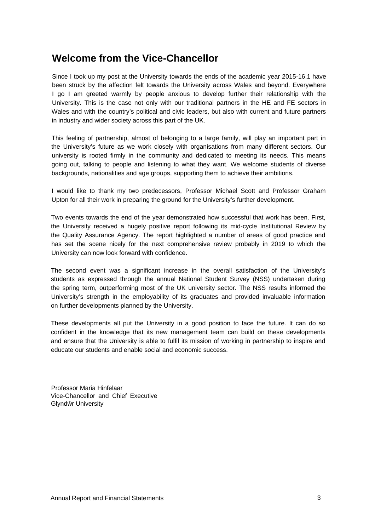# <span id="page-3-0"></span>**Welcome from the Vice-Chancellor**

Since I took up my post at the University towards the ends of the academic year 2015-16,1 have been struck by the affection felt towards the University across Wales and beyond. Everywhere I go I am greeted warmly by people anxious to develop further their relationship with the University. This is the case not only with our traditional partners in the HE and FE sectors in Wales and with the country's political and civic leaders, but also with current and future partners in industry and wider society across this part of the UK.

This feeling of partnership, almost of belonging to a large family, will play an important part in the University's future as we work closely with organisations from many different sectors. Our university is rooted firmly in the community and dedicated to meeting its needs. This means going out, talking to people and listening to what they want. We welcome students of diverse backgrounds, nationalities and age groups, supporting them to achieve their ambitions.

I would like to thank my two predecessors, Professor Michael Scott and Professor Graham Upton for all their work in preparing the ground for the University's further development.

Two events towards the end of the year demonstrated how successful that work has been. First, the University received a hugely positive report following its mid-cycle Institutional Review by the Quality Assurance Agency. The report highlighted a number of areas of good practice and has set the scene nicely for the next comprehensive review probably in 2019 to which the University can now look forward with confidence.

The second event was a significant increase in the overall satisfaction of the University's students as expressed through the annual National Student Survey (NSS) undertaken during the spring term, outperforming most of the UK university sector. The NSS results informed the University's strength in the employability of its graduates and provided invaluable information on further developments planned by the University.

These developments all put the University in a good position to face the future. It can do so confident in the knowledge that its new management team can build on these developments and ensure that the University is able to fulfil its mission of working in partnership to inspire and educate our students and enable social and economic success.

Professor Maria Hinfelaar Vice-Chancellor and Chief Executive Glynd r University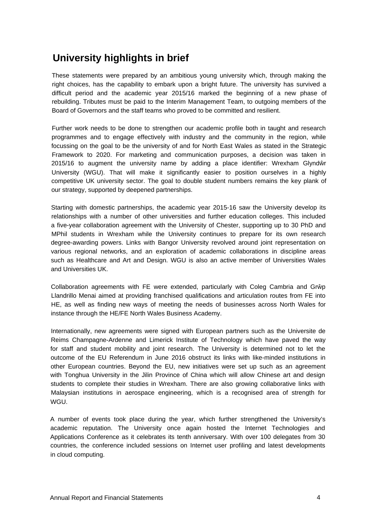# <span id="page-4-0"></span>**University highlights in brief**

These statements were prepared by an ambitious young university which, through making the right choices, has the capability to embark upon a bright future. The university has survived a difficult period and the academic year 2015/16 marked the beginning of a new phase of rebuilding. Tributes must be paid to the Interim Management Team, to outgoing members of the Board of Governors and the staff teams who proved to be committed and resilient.

Further work needs to be done to strengthen our academic profile both in taught and research programmes and to engage effectively with industry and the community in the region, while focussing on the goal to be the university of and for North East Wales as stated in the Strategic Framework to 2020. For marketing and communication purposes, a decision was taken in  $2015/16$  to augment the university name by adding a place identifier: Wrexham Glynd r University (WGU). That will make it significantly easier to position ourselves in a highly competitive UK university sector. The goal to double student numbers remains the key plank of our strategy, supported by deepened partnerships.

Starting with domestic partnerships, the academic year 2015-16 saw the University develop its relationships with a number of other universities and further education colleges. This included a five-year collaboration agreement with the University of Chester, supporting up to 30 PhD and MPhil students in Wrexham while the University continues to prepare for its own research degree-awarding powers. Links with Bangor University revolved around joint representation on various regional networks, and an exploration of academic collaborations in discipline areas such as Healthcare and Art and Design. WGU is also an active member of Universities Wales and Universities UK.

Collaboration agreements with FE were extended, particularly with Coleg Cambria and Gr p Llandrillo Menai aimed at providing franchised qualifications and articulation routes from FE into HE, as well as finding new ways of meeting the needs of businesses across North Wales for instance through the HE/FE North Wales Business Academy.

Internationally, new agreements were signed with European partners such as the Universite de Reims Champagne-Ardenne and Limerick Institute of Technology which have paved the way for staff and student mobility and joint research. The University is determined not to let the outcome of the EU Referendum in June 2016 obstruct its links with like-minded institutions in other European countries. Beyond the EU, new initiatives were set up such as an agreement with Tonghua University in the Jilin Province of China which will allow Chinese art and design students to complete their studies in Wrexham. There are also growing collaborative links with Malaysian institutions in aerospace engineering, which is a recognised area of strength for WGU.

A number of events took place during the year, which further strengthened the University's academic reputation. The University once again hosted the Internet Technologies and Applications Conference as it celebrates its tenth anniversary. With over 100 delegates from 30 countries, the conference included sessions on Internet user profiling and latest developments in cloud computing.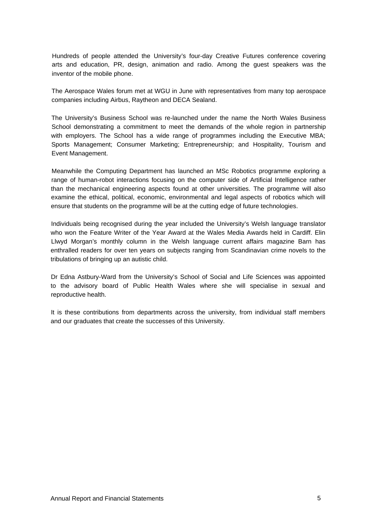Hundreds of people attended the University's four-day Creative Futures conference covering arts and education, PR, design, animation and radio. Among the guest speakers was the inventor of the mobile phone.

The Aerospace Wales forum met at WGU in June with representatives from many top aerospace companies including Airbus, Raytheon and DECA Sealand.

The University's Business School was re-launched under the name the North Wales Business School demonstrating a commitment to meet the demands of the whole region in partnership with employers. The School has a wide range of programmes including the Executive MBA; Sports Management; Consumer Marketing; Entrepreneurship; and Hospitality, Tourism and Event Management.

Meanwhile the Computing Department has launched an MSc Robotics programme exploring a range of human-robot interactions focusing on the computer side of Artificial Intelligence rather than the mechanical engineering aspects found at other universities. The programme will also examine the ethical, political, economic, environmental and legal aspects of robotics which will ensure that students on the programme will be at the cutting edge of future technologies.

Individuals being recognised during the year included the University's Welsh language translator who won the Feature Writer of the Year Award at the Wales Media Awards held in Cardiff. Elin Llwyd Morgan's monthly column in the Welsh language current affairs magazine Barn has enthralled readers for over ten years on subjects ranging from Scandinavian crime novels to the tribulations of bringing up an autistic child.

Dr Edna Astbury-Ward from the University's School of Social and Life Sciences was appointed to the advisory board of Public Health Wales where she will specialise in sexual and reproductive health.

It is these contributions from departments across the university, from individual staff members and our graduates that create the successes of this University.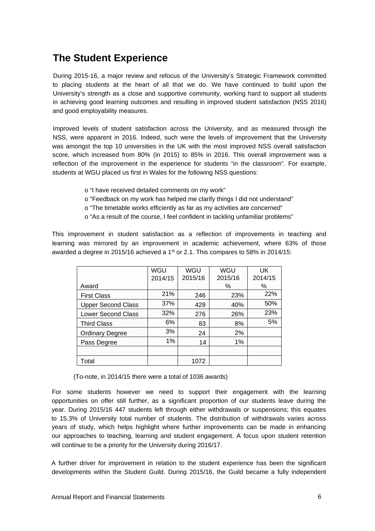# <span id="page-6-0"></span>**The Student Experience**

During 2015-16, a major review and refocus of the University's Strategic Framework committed to placing students at the heart of all that we do. We have continued to build upon the University's strength as a close and supportive community, working hard to support all students in achieving good learning outcomes and resulting in improved student satisfaction (NSS 2016) and good employability measures.

Improved levels of student satisfaction across the University, and as measured through the NSS, were apparent in 2016. Indeed, such were the levels of improvement that the University was amongst the top 10 universities in the UK with the most improved NSS overall satisfaction score, which increased from 80% (in 2015) to 85% in 2016. This overall improvement was a reflection of the improvement in the experience for students "in the classroom". For example, students at WGU placed us first in Wales for the following NSS questions:

- o "I have received detailed comments on my work"
- o "Feedback on my work has helped me clarify things I did not understand"
- o "The timetable works efficiently as far as my activities are concerned"
- o "As a result of the course, I feel confident in tackling unfamiliar problems"

This improvement in student satisfaction as a reflection of improvements in teaching and learning was mirrored by an improvement in academic achievement, where 63% of those awarded a degree in 2015/16 achieved a 1<sup>st</sup> or 2.1. This compares to 58% in 2014/15:

|                           | WGU     | WGU     | WGU     | UK      |
|---------------------------|---------|---------|---------|---------|
|                           | 2014/15 | 2015/16 | 2015/16 | 2014/15 |
| Award                     |         |         | %       | %       |
| <b>First Class</b>        | 21%     | 246     | 23%     | 22%     |
| <b>Upper Second Class</b> | 37%     | 429     | 40%     | 50%     |
| <b>Lower Second Class</b> | 32%     | 276     | 26%     | 23%     |
| <b>Third Class</b>        | 6%      | 83      | 8%      | 5%      |
| <b>Ordinary Degree</b>    | 3%      | 24      | 2%      |         |
| Pass Degree               | 1%      | 14      | $1\%$   |         |
|                           |         |         |         |         |
| Total                     |         | 1072    |         |         |

(To-note, in 2014/15 there were a total of 1036 awards)

For some students however we need to support their engagement with the learning opportunities on offer still further, as a significant proportion of our students leave during the year. During 2015/16 447 students left through either withdrawals or suspensions; this equates to 15.3% of University total number of students. The distribution of withdrawals varies across years of study, which helps highlight where further improvements can be made in enhancing our approaches to teaching, learning and student engagement. A focus upon student retention will continue to be a priority for the University during 2016/17.

A further driver for improvement in relation to the student experience has been the significant developments within the Student Guild. During 2015/16, the Guild became a fully independent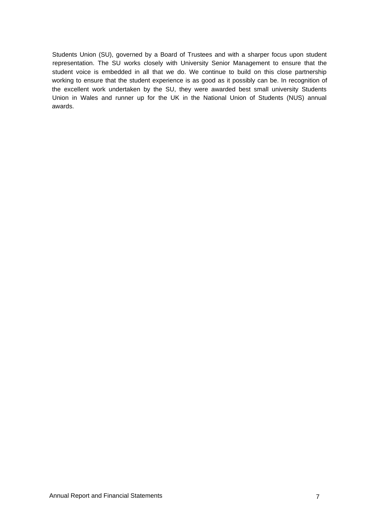Students Union (SU), governed by a Board of Trustees and with a sharper focus upon student representation. The SU works closely with University Senior Management to ensure that the student voice is embedded in all that we do. We continue to build on this close partnership working to ensure that the student experience is as good as it possibly can be. In recognition of the excellent work undertaken by the SU, they were awarded best small university Students Union in Wales and runner up for the UK in the National Union of Students (NUS) annual awards.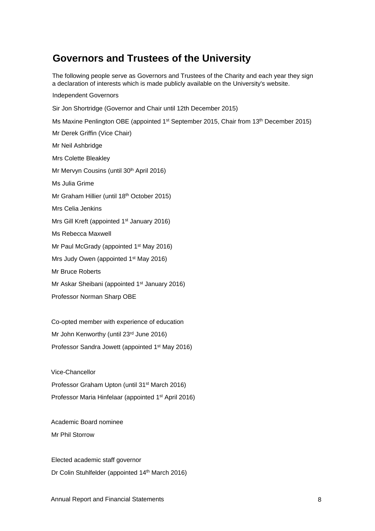# <span id="page-8-0"></span>**Governors and Trustees of the University**

The following people serve as Governors and Trustees of the Charity and each year they sign a declaration of interests which is made publicly available on the University's website.

# Independent Governors

Sir Jon Shortridge (Governor and Chair until 12th December 2015)

Ms Maxine Penlington OBE (appointed 1<sup>st</sup> September 2015, Chair from 13<sup>th</sup> December 2015)

Mr Derek Griffin (Vice Chair)

Mr Neil Ashbridge

Mrs Colette Bleakley

Mr Mervyn Cousins (until 30<sup>th</sup> April 2016)

Ms Julia Grime

Mr Graham Hillier (until 18th October 2015)

Mrs Celia Jenkins

Mrs Gill Kreft (appointed 1<sup>st</sup> January 2016)

Ms Rebecca Maxwell

Mr Paul McGrady (appointed 1st May 2016)

Mrs Judy Owen (appointed 1st May 2016)

Mr Bruce Roberts

Mr Askar Sheibani (appointed 1<sup>st</sup> January 2016)

Professor Norman Sharp OBE

Co-opted member with experience of education Mr John Kenworthy (until 23rd June 2016) Professor Sandra Jowett (appointed 1st May 2016)

Vice-Chancellor Professor Graham Upton (until 31st March 2016) Professor Maria Hinfelaar (appointed 1st April 2016)

Academic Board nominee Mr Phil Storrow

Elected academic staff governor Dr Colin Stuhlfelder (appointed 14th March 2016)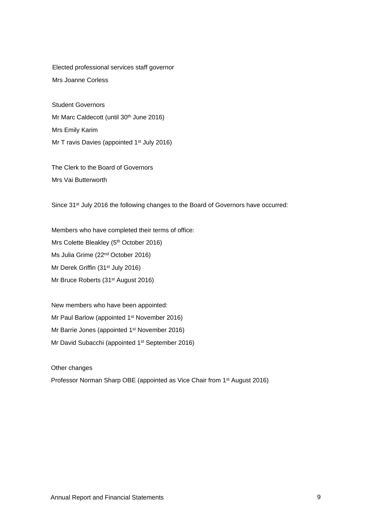Elected professional services staff governor Mrs Joanne Corless

Student Governors Mr Marc Caldecott (until 30<sup>th</sup> June 2016) Mrs Emily Karim Mr T ravis Davies (appointed 1<sup>st</sup> July 2016)

The Clerk to the Board of Governors Mrs Vai Butterworth

Since 31<sup>st</sup> July 2016 the following changes to the Board of Governors have occurred:

Members who have completed their terms of office: Mrs Colette Bleakley (5<sup>th</sup> October 2016) Ms Julia Grime (22nd October 2016) Mr Derek Griffin (31st July 2016) Mr Bruce Roberts (31<sup>st</sup> August 2016)

New members who have been appointed: Mr Paul Barlow (appointed 1<sup>st</sup> November 2016) Mr Barrie Jones (appointed 1<sup>st</sup> November 2016) Mr David Subacchi (appointed 1<sup>st</sup> September 2016)

Other changes

Professor Norman Sharp OBE (appointed as Vice Chair from 1<sup>st</sup> August 2016)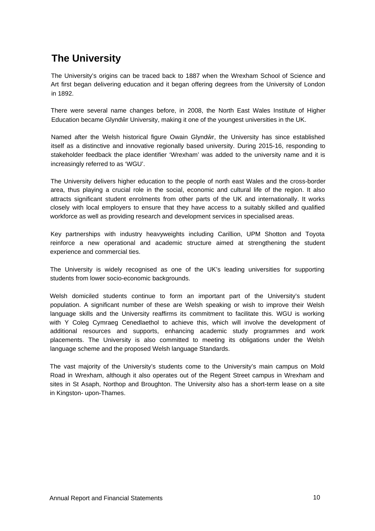# <span id="page-10-0"></span>**The University**

The University's origins can be traced back to 1887 when the Wrexham School of Science and Art first began delivering education and it began offering degrees from the University of London in 1892.

There were several name changes before, in 2008, the North East Wales Institute of Higher Education became Glynd r University, making it one of the youngest universities in the UK.

Named after the Welsh historical figure Owain Glynd r, the University has since established itself as a distinctive and innovative regionally based university. During 2015-16, responding to stakeholder feedback the place identifier 'Wrexham' was added to the university name and it is increasingly referred to as 'WGU'.

The University delivers higher education to the people of north east Wales and the cross-border area, thus playing a crucial role in the social, economic and cultural life of the region. It also attracts significant student enrolments from other parts of the UK and internationally. It works closely with local employers to ensure that they have access to a suitably skilled and qualified workforce as well as providing research and development services in specialised areas.

Key partnerships with industry heavyweights including Carillion, UPM Shotton and Toyota reinforce a new operational and academic structure aimed at strengthening the student experience and commercial ties.

The University is widely recognised as one of the UK's leading universities for supporting students from lower socio-economic backgrounds.

Welsh domiciled students continue to form an important part of the University's student population. A significant number of these are Welsh speaking or wish to improve their Welsh language skills and the University reaffirms its commitment to facilitate this. WGU is working with Y Coleg Cymraeg Cenedlaethol to achieve this, which will involve the development of additional resources and supports, enhancing academic study programmes and work placements. The University is also committed to meeting its obligations under the Welsh language scheme and the proposed Welsh language Standards.

The vast majority of the University's students come to the University's main campus on Mold Road in Wrexham, although it also operates out of the Regent Street campus in Wrexham and sites in St Asaph, Northop and Broughton. The University also has a short-term lease on a site in Kingston- upon-Thames.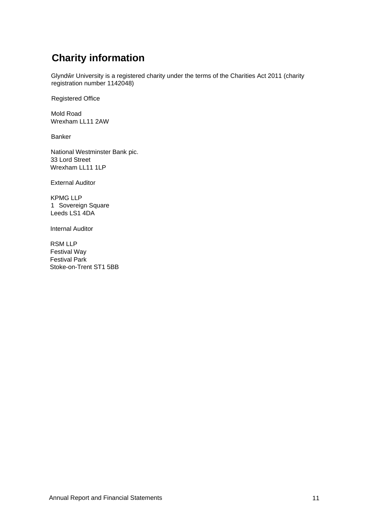# <span id="page-11-0"></span>**Charity information**

Glynd r University is a registered charity under the terms of the Charities Act 2011 (charity registration number 1142048)

Registered Office

Mold Road Wrexham LL11 2AW

Banker

National Westminster Bank pic. 33 Lord Street Wrexham LL11 1LP

External Auditor

KPMG LLP 1 Sovereign Square Leeds LS1 4DA

Internal Auditor

RSM LLP Festival Way Festival Park Stoke-on-Trent ST1 5BB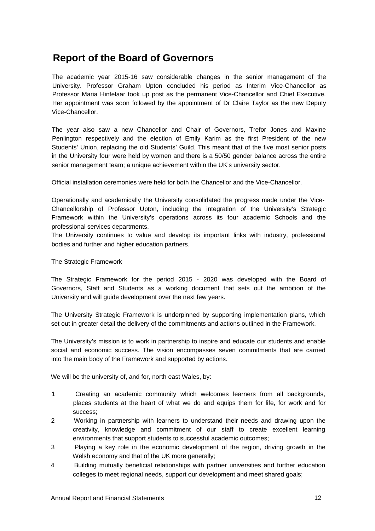# <span id="page-12-0"></span>**Report of the Board of Governors**

The academic year 2015-16 saw considerable changes in the senior management of the University. Professor Graham Upton concluded his period as Interim Vice-Chancellor as Professor Maria Hinfelaar took up post as the permanent Vice-Chancellor and Chief Executive. Her appointment was soon followed by the appointment of Dr Claire Taylor as the new Deputy Vice-Chancellor.

The year also saw a new Chancellor and Chair of Governors, Trefor Jones and Maxine Penlington respectively and the election of Emily Karim as the first President of the new Students' Union, replacing the old Students' Guild. This meant that of the five most senior posts in the University four were held by women and there is a 50/50 gender balance across the entire senior management team; a unique achievement within the UK's university sector.

Official installation ceremonies were held for both the Chancellor and the Vice-Chancellor.

Operationally and academically the University consolidated the progress made under the Vice-Chancellorship of Professor Upton, including the integration of the University's Strategic Framework within the University's operations across its four academic Schools and the professional services departments.

The University continues to value and develop its important links with industry, professional bodies and further and higher education partners.

The Strategic Framework

The Strategic Framework for the period 2015 - 2020 was developed with the Board of Governors, Staff and Students as a working document that sets out the ambition of the University and will guide development over the next few years.

The University Strategic Framework is underpinned by supporting implementation plans, which set out in greater detail the delivery of the commitments and actions outlined in the Framework.

The University's mission is to work in partnership to inspire and educate our students and enable social and economic success. The vision encompasses seven commitments that are carried into the main body of the Framework and supported by actions.

We will be the university of, and for, north east Wales, by:

- 1 Creating an academic community which welcomes learners from all backgrounds, places students at the heart of what we do and equips them for life, for work and for success;
- 2 Working in partnership with learners to understand their needs and drawing upon the creativity, knowledge and commitment of our staff to create excellent learning environments that support students to successful academic outcomes;
- 3 Playing a key role in the economic development of the region, driving growth in the Welsh economy and that of the UK more generally;
- 4 Building mutually beneficial relationships with partner universities and further education colleges to meet regional needs, support our development and meet shared goals;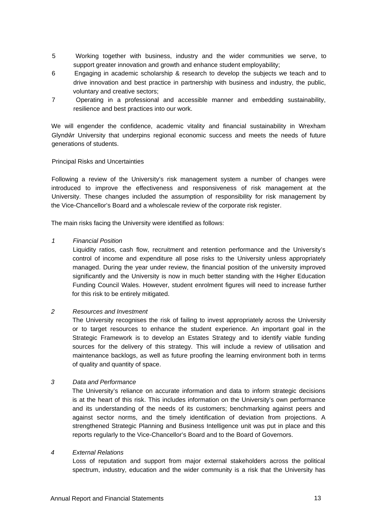- 5 Working together with business, industry and the wider communities we serve, to support greater innovation and growth and enhance student employability;
- 6 Engaging in academic scholarship & research to develop the subjects we teach and to drive innovation and best practice in partnership with business and industry, the public, voluntary and creative sectors;
- 7 Operating in a professional and accessible manner and embedding sustainability, resilience and best practices into our work.

We will engender the confidence, academic vitality and financial sustainability in Wrexham Glynd r University that underpins regional economic success and meets the needs of future generations of students.

# Principal Risks and Uncertainties

Following a review of the University's risk management system a number of changes were introduced to improve the effectiveness and responsiveness of risk management at the University. These changes included the assumption of responsibility for risk management by the Vice-Chancellor's Board and a wholescale review of the corporate risk register.

The main risks facing the University were identified as follows:

# *1 Financial Position*

Liquidity ratios, cash flow, recruitment and retention performance and the University's control of income and expenditure all pose risks to the University unless appropriately managed. During the year under review, the financial position of the university improved significantly and the University is now in much better standing with the Higher Education Funding Council Wales. However, student enrolment figures will need to increase further for this risk to be entirely mitigated.

# *2 Resources and Investment*

The University recognises the risk of failing to invest appropriately across the University or to target resources to enhance the student experience. An important goal in the Strategic Framework is to develop an Estates Strategy and to identify viable funding sources for the delivery of this strategy. This will include a review of utilisation and maintenance backlogs, as well as future proofing the learning environment both in terms of quality and quantity of space.

# *3 Data and Performance*

The University's reliance on accurate information and data to inform strategic decisions is at the heart of this risk. This includes information on the University's own performance and its understanding of the needs of its customers; benchmarking against peers and against sector norms, and the timely identification of deviation from projections. A strengthened Strategic Planning and Business Intelligence unit was put in place and this reports regularly to the Vice-Chancellor's Board and to the Board of Governors.

### *4 External Relations*

Loss of reputation and support from major external stakeholders across the political spectrum, industry, education and the wider community is a risk that the University has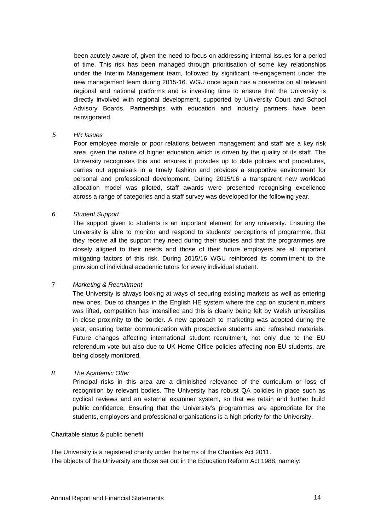been acutely aware of, given the need to focus on addressing internal issues for a period of time. This risk has been managed through prioritisation of some key relationships under the Interim Management team, followed by significant re-engagement under the new management team during 2015-16. WGU once again has a presence on all relevant regional and national platforms and is investing time to ensure that the University is directly involved with regional development, supported by University Court and School Advisory Boards. Partnerships with education and industry partners have been reinvigorated.

# *5 HR Issues*

Poor employee morale or poor relations between management and staff are a key risk area, given the nature of higher education which is driven by the quality of its staff. The University recognises this and ensures it provides up to date policies and procedures, carries out appraisals in a timely fashion and provides a supportive environment for personal and professional development. During 2015/16 a transparent new workload allocation model was piloted, staff awards were presented recognising excellence across a range of categories and a staff survey was developed for the following year.

# *6 Student Support*

The support given to students is an important element for any university. Ensuring the University is able to monitor and respond to students' perceptions of programme, that they receive all the support they need during their studies and that the programmes are closely aligned to their needs and those of their future employers are all important mitigating factors of this risk. During 2015/16 WGU reinforced its commitment to the provision of individual academic tutors for every individual student.

### 7 *Marketing & Recruitment*

The University is always looking at ways of securing existing markets as well as entering new ones. Due to changes in the English HE system where the cap on student numbers was lifted, competition has intensified and this is clearly being felt by Welsh universities in close proximity to the border. A new approach to marketing was adopted during the year, ensuring better communication with prospective students and refreshed materials. Future changes affecting international student recruitment, not only due to the EU referendum vote but also due to UK Home Office policies affecting non-EU students, are being closely monitored.

### *8 The Academic Offer*

Principal risks in this area are a diminished relevance of the curriculum or loss of recognition by relevant bodies. The University has robust QA policies in place such as cyclical reviews and an external examiner system, so that we retain and further build public confidence. Ensuring that the University's programmes are appropriate for the students, employers and professional organisations is a high priority for the University.

### Charitable status & public benefit

The University is a registered charity under the terms of the Charities Act 2011. The objects of the University are those set out in the Education Reform Act 1988, namely: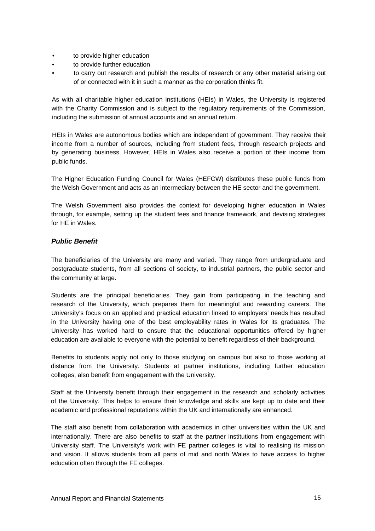- to provide higher education
- to provide further education
- to carry out research and publish the results of research or any other material arising out of or connected with it in such a manner as the corporation thinks fit.

As with all charitable higher education institutions (HEIs) in Wales, the University is registered with the Charity Commission and is subject to the regulatory requirements of the Commission, including the submission of annual accounts and an annual return.

HEIs in Wales are autonomous bodies which are independent of government. They receive their income from a number of sources, including from student fees, through research projects and by generating business. However, HEIs in Wales also receive a portion of their income from public funds.

The Higher Education Funding Council for Wales (HEFCW) distributes these public funds from the Welsh Government and acts as an intermediary between the HE sector and the government.

The Welsh Government also provides the context for developing higher education in Wales through, for example, setting up the student fees and finance framework, and devising strategies for HE in Wales.

# *Public Benefit*

The beneficiaries of the University are many and varied. They range from undergraduate and postgraduate students, from all sections of society, to industrial partners, the public sector and the community at large.

Students are the principal beneficiaries. They gain from participating in the teaching and research of the University, which prepares them for meaningful and rewarding careers. The University's focus on an applied and practical education linked to employers' needs has resulted in the University having one of the best employability rates in Wales for its graduates. The University has worked hard to ensure that the educational opportunities offered by higher education are available to everyone with the potential to benefit regardless of their background.

Benefits to students apply not only to those studying on campus but also to those working at distance from the University. Students at partner institutions, including further education colleges, also benefit from engagement with the University.

Staff at the University benefit through their engagement in the research and scholarly activities of the University. This helps to ensure their knowledge and skills are kept up to date and their academic and professional reputations within the UK and internationally are enhanced.

The staff also benefit from collaboration with academics in other universities within the UK and internationally. There are also benefits to staff at the partner institutions from engagement with University staff. The University's work with FE partner colleges is vital to realising its mission and vision. It allows students from all parts of mid and north Wales to have access to higher education often through the FE colleges.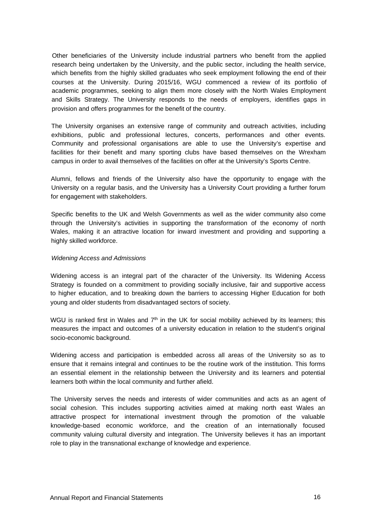Other beneficiaries of the University include industrial partners who benefit from the applied research being undertaken by the University, and the public sector, including the health service, which benefits from the highly skilled graduates who seek employment following the end of their courses at the University. During 2015/16, WGU commenced a review of its portfolio of academic programmes, seeking to align them more closely with the North Wales Employment and Skills Strategy. The University responds to the needs of employers, identifies gaps in provision and offers programmes for the benefit of the country.

The University organises an extensive range of community and outreach activities, including exhibitions, public and professional lectures, concerts, performances and other events. Community and professional organisations are able to use the University's expertise and facilities for their benefit and many sporting clubs have based themselves on the Wrexham campus in order to avail themselves of the facilities on offer at the University's Sports Centre.

Alumni, fellows and friends of the University also have the opportunity to engage with the University on a regular basis, and the University has a University Court providing a further forum for engagement with stakeholders.

Specific benefits to the UK and Welsh Governments as well as the wider community also come through the University's activities in supporting the transformation of the economy of north Wales, making it an attractive location for inward investment and providing and supporting a highly skilled workforce.

# *Widening Access and Admissions*

Widening access is an integral part of the character of the University. Its Widening Access Strategy is founded on a commitment to providing socially inclusive, fair and supportive access to higher education, and to breaking down the barriers to accessing Higher Education for both young and older students from disadvantaged sectors of society.

WGU is ranked first in Wales and  $7<sup>th</sup>$  in the UK for social mobility achieved by its learners; this measures the impact and outcomes of a university education in relation to the student's original socio-economic background.

Widening access and participation is embedded across all areas of the University so as to ensure that it remains integral and continues to be the routine work of the institution. This forms an essential element in the relationship between the University and its learners and potential learners both within the local community and further afield.

The University serves the needs and interests of wider communities and acts as an agent of social cohesion. This includes supporting activities aimed at making north east Wales an attractive prospect for international investment through the promotion of the valuable knowledge-based economic workforce, and the creation of an internationally focused community valuing cultural diversity and integration. The University believes it has an important role to play in the transnational exchange of knowledge and experience.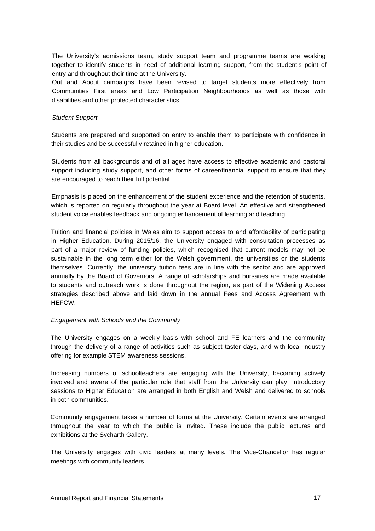The University's admissions team, study support team and programme teams are working together to identify students in need of additional learning support, from the student's point of entry and throughout their time at the University.

Out and About campaigns have been revised to target students more effectively from Communities First areas and Low Participation Neighbourhoods as well as those with disabilities and other protected characteristics.

# *Student Support*

Students are prepared and supported on entry to enable them to participate with confidence in their studies and be successfully retained in higher education.

Students from all backgrounds and of all ages have access to effective academic and pastoral support including study support, and other forms of career/financial support to ensure that they are encouraged to reach their full potential.

Emphasis is placed on the enhancement of the student experience and the retention of students, which is reported on regularly throughout the year at Board level. An effective and strengthened student voice enables feedback and ongoing enhancement of learning and teaching.

Tuition and financial policies in Wales aim to support access to and affordability of participating in Higher Education. During 2015/16, the University engaged with consultation processes as part of a major review of funding policies, which recognised that current models may not be sustainable in the long term either for the Welsh government, the universities or the students themselves. Currently, the university tuition fees are in line with the sector and are approved annually by the Board of Governors. A range of scholarships and bursaries are made available to students and outreach work is done throughout the region, as part of the Widening Access strategies described above and laid down in the annual Fees and Access Agreement with HEFCW.

# *Engagement with Schools and the Community*

The University engages on a weekly basis with school and FE learners and the community through the delivery of a range of activities such as subject taster days, and with local industry offering for example STEM awareness sessions.

Increasing numbers of schoolteachers are engaging with the University, becoming actively involved and aware of the particular role that staff from the University can play. Introductory sessions to Higher Education are arranged in both English and Welsh and delivered to schools in both communities.

Community engagement takes a number of forms at the University. Certain events are arranged throughout the year to which the public is invited. These include the public lectures and exhibitions at the Sycharth Gallery.

The University engages with civic leaders at many levels. The Vice-Chancellor has regular meetings with community leaders.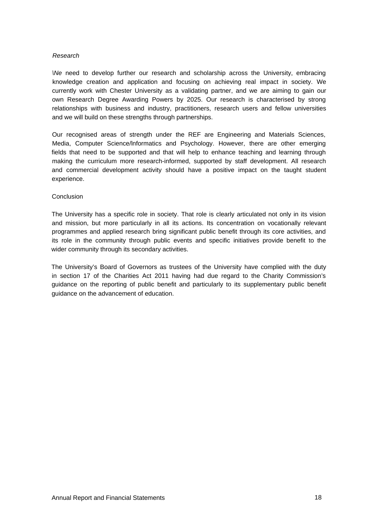# *Research*

*\Ne* need to develop further our research and scholarship across the University, embracing knowledge creation and application and focusing on achieving real impact in society. We currently work with Chester University as a validating partner, and we are aiming to gain our own Research Degree Awarding Powers by 2025. Our research is characterised by strong relationships with business and industry, practitioners, research users and fellow universities and we will build on these strengths through partnerships.

Our recognised areas of strength under the REF are Engineering and Materials Sciences, Media, Computer Science/lnformatics and Psychology. However, there are other emerging fields that need to be supported and that will help to enhance teaching and learning through making the curriculum more research-informed, supported by staff development. All research and commercial development activity should have a positive impact on the taught student experience.

### Conclusion

The University has a specific role in society. That role is clearly articulated not only in its vision and mission, but more particularly in all its actions. Its concentration on vocationally relevant programmes and applied research bring significant public benefit through its core activities, and its role in the community through public events and specific initiatives provide benefit to the wider community through its secondary activities.

The University's Board of Governors as trustees of the University have complied with the duty in section 17 of the Charities Act 2011 having had due regard to the Charity Commission's guidance on the reporting of public benefit and particularly to its supplementary public benefit guidance on the advancement of education.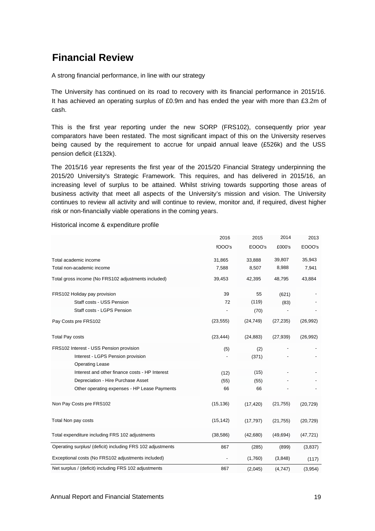# <span id="page-19-0"></span>**Financial Review**

A strong financial performance, in line with our strategy

The University has continued on its road to recovery with its financial performance in 2015/16. It has achieved an operating surplus of £0.9m and has ended the year with more than £3.2m of cash.

This is the first year reporting under the new SORP (FRS102), consequently prior year comparators have been restated. The most significant impact of this on the University reserves being caused by the requirement to accrue for unpaid annual leave (£526k) and the USS pension deficit (£132k).

The 2015/16 year represents the first year of the 2015/20 Financial Strategy underpinning the 2015/20 University's Strategic Framework. This requires, and has delivered in 2015/16, an increasing level of surplus to be attained. Whilst striving towards supporting those areas of business activity that meet all aspects of the University's mission and vision. The University continues to review all activity and will continue to review, monitor and, if required, divest higher risk or non-financially viable operations in the coming years.

Historical income & expenditure profile

|                                                            | 2016      | 2015      | 2014      | 2013      |
|------------------------------------------------------------|-----------|-----------|-----------|-----------|
|                                                            | fOOO's    | EOOO's    | £000's    | EOOO's    |
| Total academic income                                      | 31,865    | 33,888    | 39,807    | 35,943    |
| Total non-academic income                                  | 7,588     | 8,507     | 8,988     | 7,941     |
| Total gross income (No FRS102 adjustments included)        | 39,453    | 42,395    | 48,795    | 43,884    |
| FRS102 Holiday pay provision                               | 39        | 55        | (621)     |           |
| Staff costs - USS Pension                                  | 72        | (119)     | (83)      |           |
| Staff costs - LGPS Pension                                 |           | (70)      |           |           |
| Pay Costs pre FRS102                                       | (23, 555) | (24, 749) | (27, 235) | (26,992)  |
| <b>Total Pay costs</b>                                     | (23, 444) | (24, 883) | (27, 939) | (26,992)  |
| FRS102 Interest - USS Pension provision                    | (5)       | (2)       |           |           |
| Interest - LGPS Pension provision                          |           | (371)     |           |           |
| <b>Operating Lease</b>                                     |           |           |           |           |
| Interest and other finance costs - HP Interest             | (12)      | (15)      |           |           |
| Depreciation - Hire Purchase Asset                         | (55)      | (55)      |           |           |
| Other operating expenses - HP Lease Payments               | 66        | 66        |           |           |
| Non Pay Costs pre FRS102                                   | (15, 136) | (17, 420) | (21, 755) | (20, 729) |
| Total Non pay costs                                        | (15, 142) | (17, 797) | (21, 755) | (20, 729) |
| Total expenditure including FRS 102 adjustments            | (38, 586) | (42,680)  | (49, 694) | (47, 721) |
| Operating surplus/ (deficit) including FRS 102 adjustments | 867       | (285)     | (899)     | (3,837)   |
| Exceptional costs (No FRS102 adjustments included)         |           | (1,760)   | (3,848)   | (117)     |
| Net surplus / (deficit) including FRS 102 adjustments      | 867       | (2,045)   | (4,747)   | (3,954)   |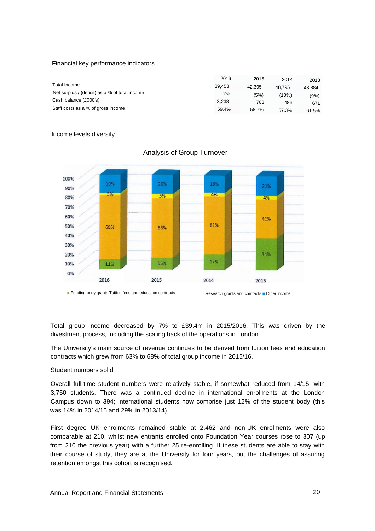### Financial key performance indicators

|                                                | 2016   | 2015   | 2014   | 2013   |
|------------------------------------------------|--------|--------|--------|--------|
| Total Income                                   | 39.453 | 42.395 | 48.795 | 43.884 |
| Net surplus / (deficit) as a % of total income | 2%     | (5%)   | (10%)  | (9%)   |
| Cash balance (£000's)                          | 3.238  | 703    | 486    | 671    |
| Staff costs as a % of gross income             | 59.4%  | 58.7%  | 57.3%  | 61.5%  |

### Income levels diversify



# Analysis of Group Turnover

Total group income decreased by 7% to £39.4m in 2015/2016. This was driven by the divestment process, including the scaling back of the operations in London.

The University's main source of revenue continues to be derived from tuition fees and education contracts which grew from 63% to 68% of total group income in 2015/16.

### Student numbers solid

Overall full-time student numbers were relatively stable, if somewhat reduced from 14/15, with 3,750 students. There was a continued decline in international enrolments at the London Campus down to 394; international students now comprise just 12% of the student body (this was 14% in 2014/15 and 29% in 2013/14).

First degree UK enrolments remained stable at 2,462 and non-UK enrolments were also comparable at 210, whilst new entrants enrolled onto Foundation Year courses rose to 307 (up from 210 the previous year) with a further 25 re-enrolling. If these students are able to stay with their course of study, they are at the University for four years, but the challenges of assuring retention amongst this cohort is recognised.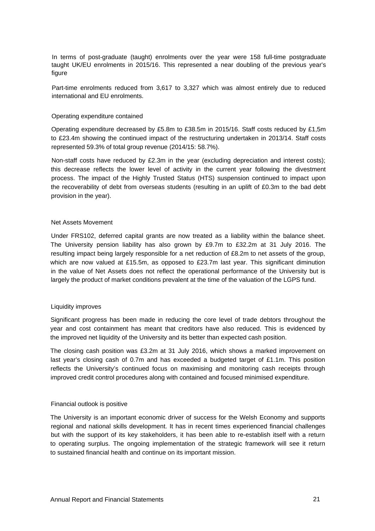In terms of post-graduate (taught) enrolments over the year were 158 full-time postgraduate taught UK/EU enrolments in 2015/16. This represented a near doubling of the previous year's figure

Part-time enrolments reduced from 3,617 to 3,327 which was almost entirely due to reduced international and EU enrolments.

### Operating expenditure contained

Operating expenditure decreased by £5.8m to £38.5m in 2015/16. Staff costs reduced by £1,5m to £23.4m showing the continued impact of the restructuring undertaken in 2013/14. Staff costs represented 59.3% of total group revenue (2014/15: 58.7%).

Non-staff costs have reduced by £2.3m in the year (excluding depreciation and interest costs); this decrease reflects the lower level of activity in the current year following the divestment process. The impact of the Highly Trusted Status (HTS) suspension continued to impact upon the recoverability of debt from overseas students (resulting in an uplift of £0.3m to the bad debt provision in the year).

# Net Assets Movement

Under FRS102, deferred capital grants are now treated as a liability within the balance sheet. The University pension liability has also grown by £9.7m to £32.2m at 31 July 2016. The resulting impact being largely responsible for a net reduction of £8.2m to net assets of the group, which are now valued at £15.5m, as opposed to £23.7m last year. This significant diminution in the value of Net Assets does not reflect the operational performance of the University but is largely the product of market conditions prevalent at the time of the valuation of the LGPS fund.

### Liquidity improves

Significant progress has been made in reducing the core level of trade debtors throughout the year and cost containment has meant that creditors have also reduced. This is evidenced by the improved net liquidity of the University and its better than expected cash position.

The closing cash position was £3.2m at 31 July 2016, which shows a marked improvement on last year's closing cash of 0.7m and has exceeded a budgeted target of £1.1m. This position reflects the University's continued focus on maximising and monitoring cash receipts through improved credit control procedures along with contained and focused minimised expenditure.

### Financial outlook is positive

The University is an important economic driver of success for the Welsh Economy and supports regional and national skills development. It has in recent times experienced financial challenges but with the support of its key stakeholders, it has been able to re-establish itself with a return to operating surplus. The ongoing implementation of the strategic framework will see it return to sustained financial health and continue on its important mission.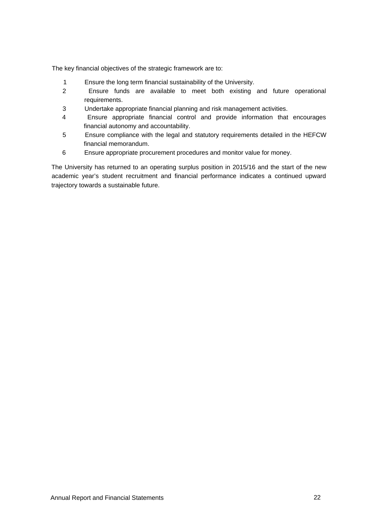The key financial objectives of the strategic framework are to:

- 1 Ensure the long term financial sustainability of the University.
- 2 Ensure funds are available to meet both existing and future operational requirements.
- 3 Undertake appropriate financial planning and risk management activities.
- 4 Ensure appropriate financial control and provide information that encourages financial autonomy and accountability.
- 5 Ensure compliance with the legal and statutory requirements detailed in the HEFCW financial memorandum.
- 6 Ensure appropriate procurement procedures and monitor value for money.

The University has returned to an operating surplus position in 2015/16 and the start of the new academic year's student recruitment and financial performance indicates a continued upward trajectory towards a sustainable future.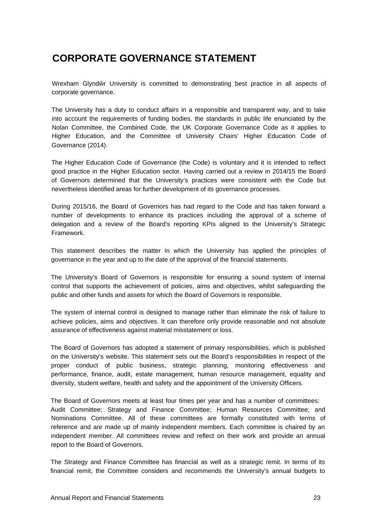# **CORPORATE GOVERNANCE STATEMENT**

Wrexham Glynd r University is committed to demonstrating best practice in all aspects of corporate governance.

The University has a duty to conduct affairs in a responsible and transparent way, and to take into account the requirements of funding bodies, the standards in public life enunciated by the Nolan Committee, the Combined Code, the UK Corporate Governance Code as it applies to Higher Education, and the Committee of University Chairs' Higher Education Code of Governance (2014).

The Higher Education Code of Governance (the Code) is voluntary and it is intended to reflect good practice in the Higher Education sector. Having carried out a review in 2014/15 the Board of Governors determined that the University's practices were consistent with the Code but nevertheless identified areas for further development of its governance processes.

During 2015/16, the Board of Governors has had regard to the Code and has taken forward a number of developments to enhance its practices including the approval of a scheme of delegation and a review of the Board's reporting KPIs aligned to the University's Strategic Framework.

This statement describes the matter in which the University has applied the principles of governance in the year and up to the date of the approval of the financial statements.

The University's Board of Governors is responsible for ensuring a sound system of internal control that supports the achievement of policies, aims and objectives, whilst safeguarding the public and other funds and assets for which the Board of Governors is responsible.

The system of internal control is designed to manage rather than eliminate the risk of failure to achieve policies, aims and objectives. It can therefore only provide reasonable and not absolute assurance of effectiveness against material misstatement or loss.

The Board of Governors has adopted a statement of primary responsibilities, which is published on the University's website. This statement sets out the Board's responsibilities in respect of the proper conduct of public business, strategic planning, monitoring effectiveness and performance, finance, audit, estate management, human resource management, equality and diversity, student welfare, health and safety and the appointment of the University Officers.

The Board of Governors meets at least four times per year and has a number of committees: Audit Committee; Strategy and Finance Committee; Human Resources Committee; and Nominations Committee. All of these committees are formally constituted with terms of reference and are made up of mainly independent members. Each committee is chaired by an independent member. All committees review and reflect on their work and provide an annual report to the Board of Governors.

The Strategy and Finance Committee has financial as well as a strategic remit. In terms of its financial remit, the Committee considers and recommends the University's annual budgets to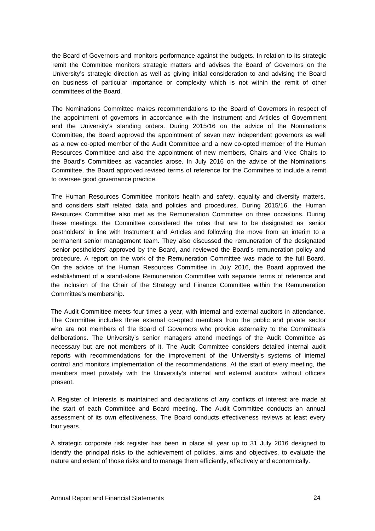the Board of Governors and monitors performance against the budgets. In relation to its strategic remit the Committee monitors strategic matters and advises the Board of Governors on the University's strategic direction as well as giving initial consideration to and advising the Board on business of particular importance or complexity which is not within the remit of other committees of the Board.

The Nominations Committee makes recommendations to the Board of Governors in respect of the appointment of governors in accordance with the Instrument and Articles of Government and the University's standing orders. During 2015/16 on the advice of the Nominations Committee, the Board approved the appointment of seven new independent governors as well as a new co-opted member of the Audit Committee and a new co-opted member of the Human Resources Committee and also the appointment of new members, Chairs and Vice Chairs to the Board's Committees as vacancies arose. In July 2016 on the advice of the Nominations Committee, the Board approved revised terms of reference for the Committee to include a remit to oversee good governance practice.

The Human Resources Committee monitors health and safety, equality and diversity matters, and considers staff related data and policies and procedures. During 2015/16, the Human Resources Committee also met as the Remuneration Committee on three occasions. During these meetings, the Committee considered the roles that are to be designated as 'senior postholders' in line with Instrument and Articles and following the move from an interim to a permanent senior management team. They also discussed the remuneration of the designated 'senior postholders' approved by the Board, and reviewed the Board's remuneration policy and procedure. A report on the work of the Remuneration Committee was made to the full Board. On the advice of the Human Resources Committee in July 2016, the Board approved the establishment of a stand-alone Remuneration Committee with separate terms of reference and the inclusion of the Chair of the Strategy and Finance Committee within the Remuneration Committee's membership.

The Audit Committee meets four times a year, with internal and external auditors in attendance. The Committee includes three external co-opted members from the public and private sector who are not members of the Board of Governors who provide externality to the Committee's deliberations. The University's senior managers attend meetings of the Audit Committee as necessary but are not members of it. The Audit Committee considers detailed internal audit reports with recommendations for the improvement of the University's systems of internal control and monitors implementation of the recommendations. At the start of every meeting, the members meet privately with the University's internal and external auditors without officers present.

A Register of Interests is maintained and declarations of any conflicts of interest are made at the start of each Committee and Board meeting. The Audit Committee conducts an annual assessment of its own effectiveness. The Board conducts effectiveness reviews at least every four years.

A strategic corporate risk register has been in place all year up to 31 July 2016 designed to identify the principal risks to the achievement of policies, aims and objectives, to evaluate the nature and extent of those risks and to manage them efficiently, effectively and economically.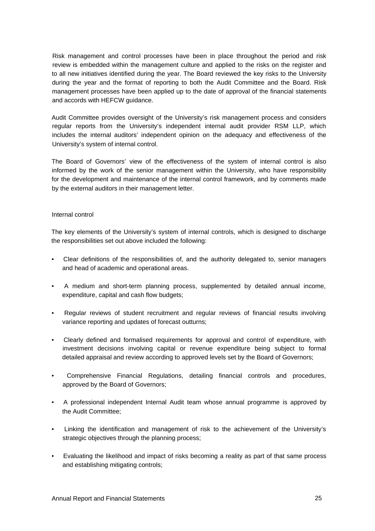Risk management and control processes have been in place throughout the period and risk review is embedded within the management culture and applied to the risks on the register and to all new initiatives identified during the year. The Board reviewed the key risks to the University during the year and the format of reporting to both the Audit Committee and the Board. Risk management processes have been applied up to the date of approval of the financial statements and accords with HEFCW guidance.

Audit Committee provides oversight of the University's risk management process and considers regular reports from the University's independent internal audit provider RSM LLP, which includes the internal auditors' independent opinion on the adequacy and effectiveness of the University's system of internal control.

The Board of Governors' view of the effectiveness of the system of internal control is also informed by the work of the senior management within the University, who have responsibility for the development and maintenance of the internal control framework, and by comments made by the external auditors in their management letter.

# Internal control

The key elements of the University's system of internal controls, which is designed to discharge the responsibilities set out above included the following:

- Clear definitions of the responsibilities of, and the authority delegated to, senior managers and head of academic and operational areas.
- A medium and short-term planning process, supplemented by detailed annual income, expenditure, capital and cash flow budgets;
- Regular reviews of student recruitment and regular reviews of financial results involving variance reporting and updates of forecast outturns;
- Clearly defined and formalised requirements for approval and control of expenditure, with investment decisions involving capital or revenue expenditure being subject to formal detailed appraisal and review according to approved levels set by the Board of Governors;
- Comprehensive Financial Regulations, detailing financial controls and procedures, approved by the Board of Governors;
- A professional independent Internal Audit team whose annual programme is approved by the Audit Committee;
- Linking the identification and management of risk to the achievement of the University's strategic objectives through the planning process;
- Evaluating the likelihood and impact of risks becoming a reality as part of that same process and establishing mitigating controls;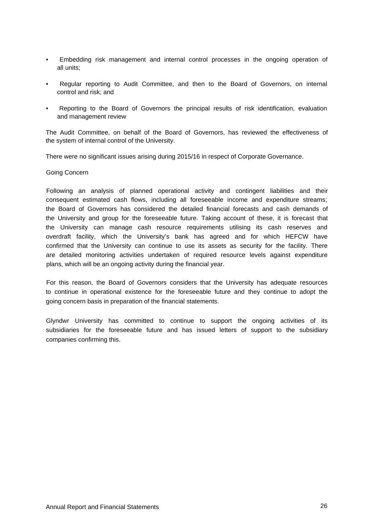- Embedding risk management and internal control processes in the ongoing operation of all units;
- Regular reporting to Audit Committee, and then to the Board of Governors, on internal control and risk; and
- Reporting to the Board of Governors the principal results of risk identification, evaluation and management review

The Audit Committee, on behalf of the Board of Governors, has reviewed the effectiveness of the system of internal control of the University.

There were no significant issues arising during 2015/16 in respect of Corporate Governance.

Going Concern

Following an analysis of planned operational activity and contingent liabilities and their consequent estimated cash flows, including all foreseeable income and expenditure streams; the Board of Governors has considered the detailed financial forecasts and cash demands of the University and group for the foreseeable future. Taking account of these, it is forecast that the University can manage cash resource requirements utilising its cash reserves and overdraft facility, which the University's bank has agreed and for which HEFCW have confirmed that the University can continue to use its assets as security for the facility. There are detailed monitoring activities undertaken of required resource levels against expenditure plans, which will be an ongoing activity during the financial year.

For this reason, the Board of Governors considers that the University has adequate resources to continue in operational existence for the foreseeable future and they continue to adopt the going concern basis in preparation of the financial statements.

Glyndwr University has committed to continue to support the ongoing activities of its subsidiaries for the foreseeable future and has issued letters of support to the subsidiary companies confirming this.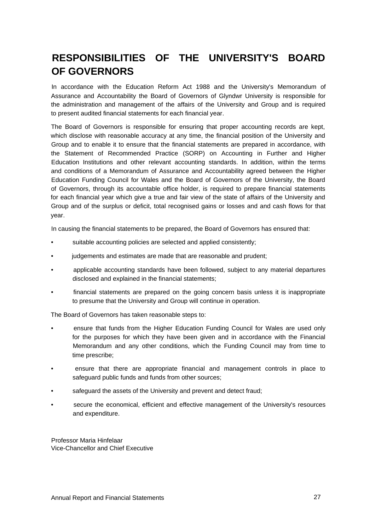# **RESPONSIBILITIES OF THE UNIVERSITY'S BOARD OF GOVERNORS**

In accordance with the Education Reform Act 1988 and the University's Memorandum of Assurance and Accountability the Board of Governors of Glyndwr University is responsible for the administration and management of the affairs of the University and Group and is required to present audited financial statements for each financial year.

The Board of Governors is responsible for ensuring that proper accounting records are kept, which disclose with reasonable accuracy at any time, the financial position of the University and Group and to enable it to ensure that the financial statements are prepared in accordance, with the Statement of Recommended Practice (SORP) on Accounting in Further and Higher Education Institutions and other relevant accounting standards. In addition, within the terms and conditions of a Memorandum of Assurance and Accountability agreed between the Higher Education Funding Council for Wales and the Board of Governors of the University, the Board of Governors, through its accountable office holder, is required to prepare financial statements for each financial year which give a true and fair view of the state of affairs of the University and Group and of the surplus or deficit, total recognised gains or losses and and cash flows for that year.

In causing the financial statements to be prepared, the Board of Governors has ensured that:

- suitable accounting policies are selected and applied consistently;
- judgements and estimates are made that are reasonable and prudent;
- applicable accounting standards have been followed, subject to any material departures disclosed and explained in the financial statements;
- financial statements are prepared on the going concern basis unless it is inappropriate to presume that the University and Group will continue in operation.

The Board of Governors has taken reasonable steps to:

- ensure that funds from the Higher Education Funding Council for Wales are used only for the purposes for which they have been given and in accordance with the Financial Memorandum and any other conditions, which the Funding Council may from time to time prescribe;
- ensure that there are appropriate financial and management controls in place to safeguard public funds and funds from other sources;
- safeguard the assets of the University and prevent and detect fraud;
- secure the economical, efficient and effective management of the University's resources and expenditure.

Professor Maria Hinfelaar Vice-Chancellor and Chief Executive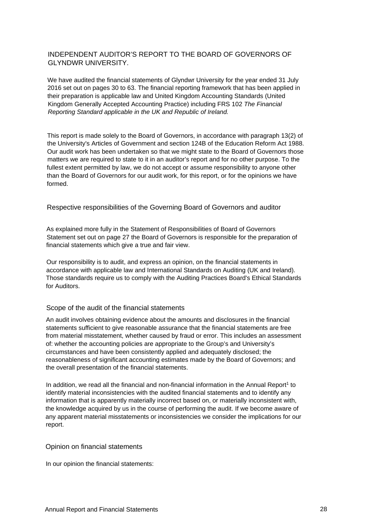# INDEPENDENT AUDITOR'S REPORT TO THE BOARD OF GOVERNORS OF GLYNDWR UNIVERSITY.

We have audited the financial statements of Glyndwr University for the year ended 31 July 2016 set out on pages 30 to 63. The financial reporting framework that has been applied in their preparation is applicable law and United Kingdom Accounting Standards (United Kingdom Generally Accepted Accounting Practice) including FRS 102 *The Financial Reporting Standard applicable in the UK and Republic of Ireland.*

This report is made solely to the Board of Governors, in accordance with paragraph 13(2) of the University's Articles of Government and section 124B of the Education Reform Act 1988. Our audit work has been undertaken so that we might state to the Board of Governors those matters we are required to state to it in an auditor's report and for no other purpose. To the fullest extent permitted by law, we do not accept or assume responsibility to anyone other than the Board of Governors for our audit work, for this report, or for the opinions we have formed.

# Respective responsibilities of the Governing Board of Governors and auditor

As explained more fully in the Statement of Responsibilities of Board of Governors Statement set out on page 27 the Board of Governors is responsible for the preparation of financial statements which give a true and fair view.

Our responsibility is to audit, and express an opinion, on the financial statements in accordance with applicable law and International Standards on Auditing (UK and Ireland). Those standards require us to comply with the Auditing Practices Board's Ethical Standards for Auditors.

### Scope of the audit of the financial statements

An audit involves obtaining evidence about the amounts and disclosures in the financial statements sufficient to give reasonable assurance that the financial statements are free from material misstatement, whether caused by fraud or error. This includes an assessment of: whether the accounting policies are appropriate to the Group's and University's circumstances and have been consistently applied and adequately disclosed; the reasonableness of significant accounting estimates made by the Board of Governors; and the overall presentation of the financial statements.

In addition, we read all the financial and non-financial information in the Annual Report<sup>1</sup> to identify material inconsistencies with the audited financial statements and to identify any information that is apparently materially incorrect based on, or materially inconsistent with, the knowledge acquired by us in the course of performing the audit. If we become aware of any apparent material misstatements or inconsistencies we consider the implications for our report.

# Opinion on financial statements

In our opinion the financial statements: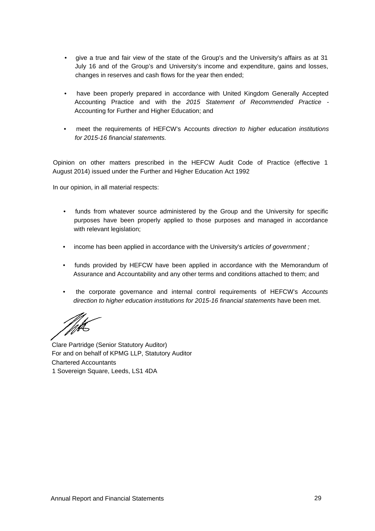- give a true and fair view of the state of the Group's and the University's affairs as at 31 July 16 and of the Group's and University's income and expenditure, gains and losses, changes in reserves and cash flows for the year then ended;
- have been properly prepared in accordance with United Kingdom Generally Accepted Accounting Practice and with the *2015 Statement of Recommended Practice -* Accounting for Further and Higher Education; and
- meet the requirements of HEFCW's Accounts *direction to higher education institutions for 2015-16 financial statements.*

Opinion on other matters prescribed in the HEFCW Audit Code of Practice (effective 1 August 2014) issued under the Further and Higher Education Act 1992

In our opinion, in all material respects:

- funds from whatever source administered by the Group and the University for specific purposes have been properly applied to those purposes and managed in accordance with relevant legislation;
- income has been applied in accordance with the University's *articles of government ;*
- funds provided by HEFCW have been applied in accordance with the Memorandum of Assurance and Accountability and any other terms and conditions attached to them; and
- the corporate governance and internal control requirements of HEFCW's *Accounts direction to higher education institutions for 2015-16 financial statements* have been met.

Clare Partridge (Senior Statutory Auditor) For and on behalf of KPMG LLP, Statutory Auditor Chartered Accountants 1 Sovereign Square, Leeds, LS1 4DA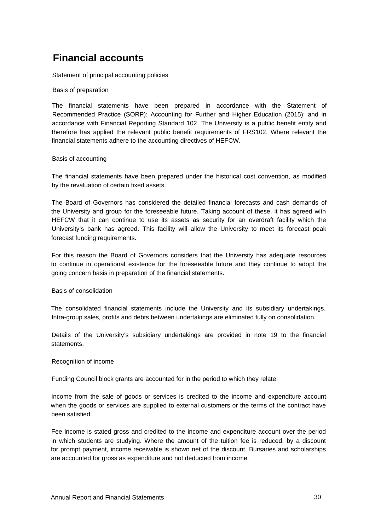# <span id="page-30-0"></span>**Financial accounts**

Statement of principal accounting policies

Basis of preparation

The financial statements have been prepared in accordance with the Statement of Recommended Practice (SORP): Accounting for Further and Higher Education (2015): and in accordance with Financial Reporting Standard 102. The University is a public benefit entity and therefore has applied the relevant public benefit requirements of FRS102. Where relevant the financial statements adhere to the accounting directives of HEFCW.

# Basis of accounting

The financial statements have been prepared under the historical cost convention, as modified by the revaluation of certain fixed assets.

The Board of Governors has considered the detailed financial forecasts and cash demands of the University and group for the foreseeable future. Taking account of these, it has agreed with HEFCW that it can continue to use its assets as security for an overdraft facility which the University's bank has agreed. This facility will allow the University to meet its forecast peak forecast funding requirements.

For this reason the Board of Governors considers that the University has adequate resources to continue in operational existence for the foreseeable future and they continue to adopt the going concern basis in preparation of the financial statements.

Basis of consolidation

The consolidated financial statements include the University and its subsidiary undertakings. Intra-group sales, profits and debts between undertakings are eliminated fully on consolidation.

Details of the University's subsidiary undertakings are provided in note 19 to the financial statements.

# Recognition of income

Funding Council block grants are accounted for in the period to which they relate.

Income from the sale of goods or services is credited to the income and expenditure account when the goods or services are supplied to external customers or the terms of the contract have been satisfied.

Fee income is stated gross and credited to the income and expenditure account over the period in which students are studying. Where the amount of the tuition fee is reduced, by a discount for prompt payment, income receivable is shown net of the discount. Bursaries and scholarships are accounted for gross as expenditure and not deducted from income.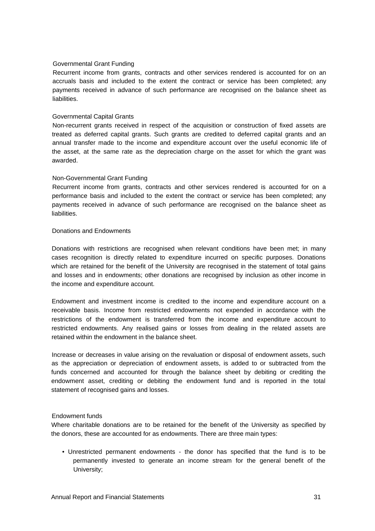# Governmental Grant Funding

Recurrent income from grants, contracts and other services rendered is accounted for on an accruals basis and included to the extent the contract or service has been completed; any payments received in advance of such performance are recognised on the balance sheet as liabilities.

# Governmental Capital Grants

Non-recurrent grants received in respect of the acquisition or construction of fixed assets are treated as deferred capital grants. Such grants are credited to deferred capital grants and an annual transfer made to the income and expenditure account over the useful economic life of the asset, at the same rate as the depreciation charge on the asset for which the grant was awarded.

### Non-Governmental Grant Funding

Recurrent income from grants, contracts and other services rendered is accounted for on a performance basis and included to the extent the contract or service has been completed; any payments received in advance of such performance are recognised on the balance sheet as liabilities.

## Donations and Endowments

Donations with restrictions are recognised when relevant conditions have been met; in many cases recognition is directly related to expenditure incurred on specific purposes. Donations which are retained for the benefit of the University are recognised in the statement of total gains and losses and in endowments; other donations are recognised by inclusion as other income in the income and expenditure account.

Endowment and investment income is credited to the income and expenditure account on a receivable basis. Income from restricted endowments not expended in accordance with the restrictions of the endowment is transferred from the income and expenditure account to restricted endowments. Any realised gains or losses from dealing in the related assets are retained within the endowment in the balance sheet.

Increase or decreases in value arising on the revaluation or disposal of endowment assets, such as the appreciation or depreciation of endowment assets, is added to or subtracted from the funds concerned and accounted for through the balance sheet by debiting or crediting the endowment asset, crediting or debiting the endowment fund and is reported in the total statement of recognised gains and losses.

### Endowment funds

Where charitable donations are to be retained for the benefit of the University as specified by the donors, these are accounted for as endowments. There are three main types:

• Unrestricted permanent endowments - the donor has specified that the fund is to be permanently invested to generate an income stream for the general benefit of the University;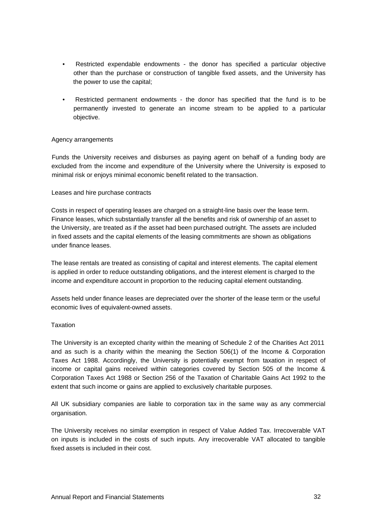- Restricted expendable endowments the donor has specified a particular objective other than the purchase or construction of tangible fixed assets, and the University has the power to use the capital;
- Restricted permanent endowments the donor has specified that the fund is to be permanently invested to generate an income stream to be applied to a particular objective.

# Agency arrangements

Funds the University receives and disburses as paying agent on behalf of a funding body are excluded from the income and expenditure of the University where the University is exposed to minimal risk or enjoys minimal economic benefit related to the transaction.

### Leases and hire purchase contracts

Costs in respect of operating leases are charged on a straight-line basis over the lease term. Finance leases, which substantially transfer all the benefits and risk of ownership of an asset to the University, are treated as if the asset had been purchased outright. The assets are included in fixed assets and the capital elements of the leasing commitments are shown as obligations under finance leases.

The lease rentals are treated as consisting of capital and interest elements. The capital element is applied in order to reduce outstanding obligations, and the interest element is charged to the income and expenditure account in proportion to the reducing capital element outstanding.

Assets held under finance leases are depreciated over the shorter of the lease term or the useful economic lives of equivalent-owned assets.

### **Taxation**

The University is an excepted charity within the meaning of Schedule 2 of the Charities Act 2011 and as such is a charity within the meaning the Section 506(1) of the Income & Corporation Taxes Act 1988. Accordingly, the University is potentially exempt from taxation in respect of income or capital gains received within categories covered by Section 505 of the Income & Corporation Taxes Act 1988 or Section 256 of the Taxation of Charitable Gains Act 1992 to the extent that such income or gains are applied to exclusively charitable purposes.

All UK subsidiary companies are liable to corporation tax in the same way as any commercial organisation.

The University receives no similar exemption in respect of Value Added Tax. Irrecoverable VAT on inputs is included in the costs of such inputs. Any irrecoverable VAT allocated to tangible fixed assets is included in their cost.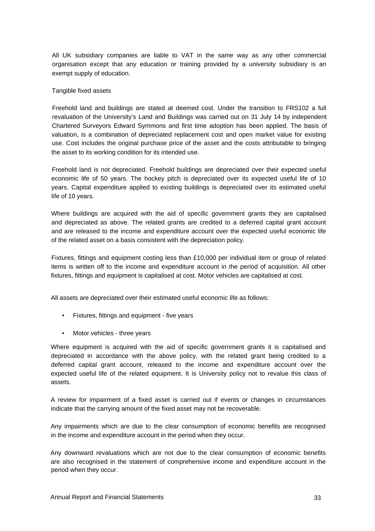All UK subsidiary companies are liable to VAT in the same way as any other commercial organisation except that any education or training provided by a university subsidiary is an exempt supply of education.

# Tangible fixed assets

Freehold land and buildings are stated at deemed cost. Under the transition to FRS102 a full revaluation of the University's Land and Buildings was carried out on 31 July 14 by independent Chartered Surveyors Edward Symmons and first time adoption has been applied. The basis of valuation, is a combination of depreciated replacement cost and open market value for existing use. Cost includes the original purchase price of the asset and the costs attributable to bringing the asset to its working condition for its intended use.

Freehold land is not depreciated. Freehold buildings are depreciated over their expected useful economic life of 50 years. The hockey pitch is depreciated over its expected useful life of 10 years. Capital expenditure applied to existing buildings is depreciated over its estimated useful life of 10 years.

Where buildings are acquired with the aid of specific government grants they are capitalised and depreciated as above. The related grants are credited to a deferred capital grant account and are released to the income and expenditure account over the expected useful economic life of the related asset on a basis consistent with the depreciation policy.

Fixtures, fittings and equipment costing less than £10,000 per individual item or group of related items is written off to the income and expenditure account in the period of acquisition. All other fixtures, fittings and equipment is capitalised at cost. Motor vehicles are capitalised at cost.

All assets are depreciated over their estimated useful economic life as follows:

- Fixtures, fittings and equipment five years
- Motor vehicles three years

Where equipment is acquired with the aid of specific government grants it is capitalised and depreciated in accordance with the above policy, with the related grant being credited to a deferred capital grant account, released to the income and expenditure account over the expected useful life of the related equipment. It is University policy not to revalue this class of assets.

A review for impairment of a fixed asset is carried out if events or changes in circumstances indicate that the carrying amount of the fixed asset may not be recoverable.

Any impairments which are due to the clear consumption of economic benefits are recognised in the income and expenditure account in the period when they occur.

Any downward revaluations which are not due to the clear consumption of economic benefits are also recognised in the statement of comprehensive income and expenditure account in the period when they occur.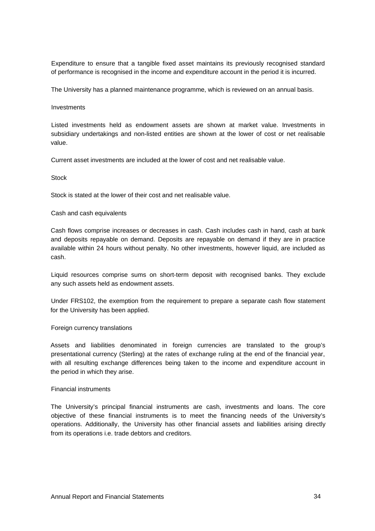Expenditure to ensure that a tangible fixed asset maintains its previously recognised standard of performance is recognised in the income and expenditure account in the period it is incurred.

The University has a planned maintenance programme, which is reviewed on an annual basis.

# Investments

Listed investments held as endowment assets are shown at market value. Investments in subsidiary undertakings and non-listed entities are shown at the lower of cost or net realisable value.

Current asset investments are included at the lower of cost and net realisable value.

### **Stock**

Stock is stated at the lower of their cost and net realisable value.

### Cash and cash equivalents

Cash flows comprise increases or decreases in cash. Cash includes cash in hand, cash at bank and deposits repayable on demand. Deposits are repayable on demand if they are in practice available within 24 hours without penalty. No other investments, however liquid, are included as cash.

Liquid resources comprise sums on short-term deposit with recognised banks. They exclude any such assets held as endowment assets.

Under FRS102, the exemption from the requirement to prepare a separate cash flow statement for the University has been applied.

### Foreign currency translations

Assets and liabilities denominated in foreign currencies are translated to the group's presentational currency (Sterling) at the rates of exchange ruling at the end of the financial year, with all resulting exchange differences being taken to the income and expenditure account in the period in which they arise.

### Financial instruments

The University's principal financial instruments are cash, investments and loans. The core objective of these financial instruments is to meet the financing needs of the University's operations. Additionally, the University has other financial assets and liabilities arising directly from its operations i.e. trade debtors and creditors.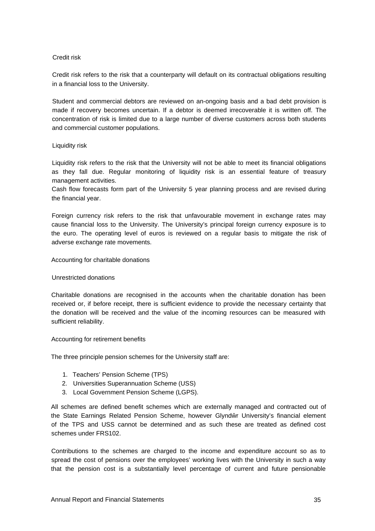# Credit risk

Credit risk refers to the risk that a counterparty will default on its contractual obligations resulting in a financial loss to the University.

Student and commercial debtors are reviewed on an-ongoing basis and a bad debt provision is made if recovery becomes uncertain. If a debtor is deemed irrecoverable it is written off. The concentration of risk is limited due to a large number of diverse customers across both students and commercial customer populations.

# Liquidity risk

Liquidity risk refers to the risk that the University will not be able to meet its financial obligations as they fall due. Regular monitoring of liquidity risk is an essential feature of treasury management activities.

Cash flow forecasts form part of the University 5 year planning process and are revised during the financial year.

Foreign currency risk refers to the risk that unfavourable movement in exchange rates may cause financial loss to the University. The University's principal foreign currency exposure is to the euro. The operating level of euros is reviewed on a regular basis to mitigate the risk of adverse exchange rate movements.

# Accounting for charitable donations

# Unrestricted donations

Charitable donations are recognised in the accounts when the charitable donation has been received or, if before receipt, there is sufficient evidence to provide the necessary certainty that the donation will be received and the value of the incoming resources can be measured with sufficient reliability.

# Accounting for retirement benefits

The three principle pension schemes for the University staff are:

- 1. Teachers' Pension Scheme (TPS)
- 2. Universities Superannuation Scheme (USS)
- 3. Local Government Pension Scheme (LGPS).

All schemes are defined benefit schemes which are externally managed and contracted out of the State Earnings Related Pension Scheme, however Glynd r University's financial element of the TPS and USS cannot be determined and as such these are treated as defined cost schemes under FRS102.

Contributions to the schemes are charged to the income and expenditure account so as to spread the cost of pensions over the employees' working lives with the University in such a way that the pension cost is a substantially level percentage of current and future pensionable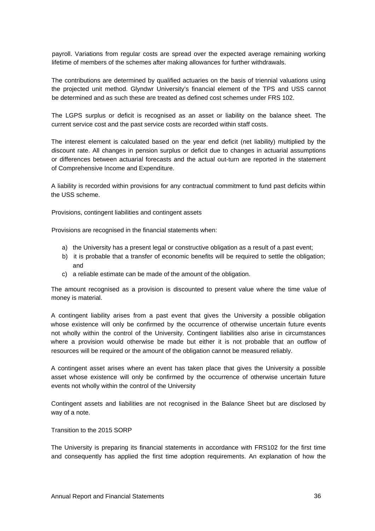payroll. Variations from regular costs are spread over the expected average remaining working lifetime of members of the schemes after making allowances for further withdrawals.

The contributions are determined by qualified actuaries on the basis of triennial valuations using the projected unit method. Glyndwr University's financial element of the TPS and USS cannot be determined and as such these are treated as defined cost schemes under FRS 102.

The LGPS surplus or deficit is recognised as an asset or liability on the balance sheet. The current service cost and the past service costs are recorded within staff costs.

The interest element is calculated based on the year end deficit (net liability) multiplied by the discount rate. All changes in pension surplus or deficit due to changes in actuarial assumptions or differences between actuarial forecasts and the actual out-turn are reported in the statement of Comprehensive Income and Expenditure.

A liability is recorded within provisions for any contractual commitment to fund past deficits within the USS scheme.

Provisions, contingent liabilities and contingent assets

Provisions are recognised in the financial statements when:

- a) the University has a present legal or constructive obligation as a result of a past event;
- b) it is probable that a transfer of economic benefits will be required to settle the obligation; and
- c) a reliable estimate can be made of the amount of the obligation.

The amount recognised as a provision is discounted to present value where the time value of money is material.

A contingent liability arises from a past event that gives the University a possible obligation whose existence will only be confirmed by the occurrence of otherwise uncertain future events not wholly within the control of the University. Contingent liabilities also arise in circumstances where a provision would otherwise be made but either it is not probable that an outflow of resources will be required or the amount of the obligation cannot be measured reliably.

A contingent asset arises where an event has taken place that gives the University a possible asset whose existence will only be confirmed by the occurrence of otherwise uncertain future events not wholly within the control of the University

Contingent assets and liabilities are not recognised in the Balance Sheet but are disclosed by way of a note.

Transition to the 2015 SORP

The University is preparing its financial statements in accordance with FRS102 for the first time and consequently has applied the first time adoption requirements. An explanation of how the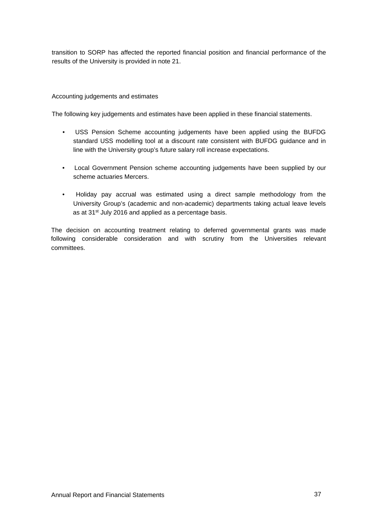transition to SORP has affected the reported financial position and financial performance of the results of the University is provided in note 21.

# Accounting judgements and estimates

The following key judgements and estimates have been applied in these financial statements.

- USS Pension Scheme accounting judgements have been applied using the BUFDG standard USS modelling tool at a discount rate consistent with BUFDG guidance and in line with the University group's future salary roll increase expectations.
- Local Government Pension scheme accounting judgements have been supplied by our scheme actuaries Mercers.
- Holiday pay accrual was estimated using a direct sample methodology from the University Group's (academic and non-academic) departments taking actual leave levels as at 31st July 2016 and applied as a percentage basis.

The decision on accounting treatment relating to deferred governmental grants was made following considerable consideration and with scrutiny from the Universities relevant committees.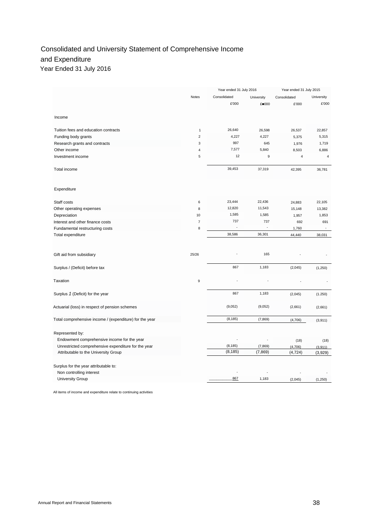# Consolidated and University Statement of Comprehensive Income and Expenditure Year Ended 31 July 2016

|                                                         |                  | Year ended 31 July 2016 |                 | Year ended 31 July 2015 |                |
|---------------------------------------------------------|------------------|-------------------------|-----------------|-------------------------|----------------|
|                                                         | Notes            | Consolidated            | University      | Consolidated            | University     |
|                                                         |                  | £'000                   | £ 000           | £'000                   | £'000          |
| Income                                                  |                  |                         |                 |                         |                |
| Tuition fees and education contracts                    | $\mathbf{1}$     | 26,640                  |                 |                         | 22,857         |
| Funding body grants                                     | $\overline{2}$   | 4,227                   | 26,598<br>4,227 | 26,537<br>5,375         | 5,315          |
| Research grants and contracts                           | 3                | 997                     | 645             | 1,976                   | 1,719          |
| Other income                                            | 4                | 7,577                   | 5,840           | 8,503                   | 6,886          |
| Investment income                                       | 5                | 12                      | 9               | $\overline{4}$          | $\overline{4}$ |
|                                                         |                  |                         |                 |                         |                |
| Total income                                            |                  | 39,453                  | 37,319          | 42,395                  | 36,781         |
| Expenditure                                             |                  |                         |                 |                         |                |
| Staff costs                                             | 6                | 23,444                  | 22,436          | 24,883                  | 22,105         |
| Other operating expenses                                | 8                | 12,820                  | 11,543          | 15,148                  | 13,382         |
| Depreciation                                            | 10               | 1,585                   | 1,585           | 1,957                   | 1,853          |
| Interest and other finance costs                        | $\overline{7}$   | 737                     | 737             | 692                     | 691            |
| Fundamental restructuring costs                         | 8                |                         | l.              | 1,760                   |                |
| Total expenditure                                       |                  | 38,586                  | 36,301          | 44,440                  | 38,031         |
|                                                         |                  |                         |                 |                         |                |
| Gift aid from subsidiary                                | 25/26            |                         | 165             |                         |                |
| Surplus / (Deficit) before tax                          |                  | 867                     | 1,183           | (2,045)                 | (1, 250)       |
| Taxation                                                | $\boldsymbol{9}$ |                         |                 |                         |                |
| Surplus 1 (Deficit) for the year                        |                  | 867                     | 1,183           | (2,045)                 | (1.250)        |
| Actuarial (loss) in respect of pension schemes          |                  | (9,052)                 | (9,052)         | (2,661)                 | (2,661)        |
| Total comprehensive income / (expenditure) for the year |                  | (8, 185)                | (7, 869)        | (4,706)                 | (3,911)        |
| Represented by:                                         |                  |                         |                 |                         |                |
| Endowment comprehensive income for the year             |                  |                         |                 | (18)                    | (18)           |
| Unrestricted comprehensive expenditure for the year     |                  | (8, 185)                | (7, 869)        | (4,706)                 | (3,911)        |
| Attributable to the University Group                    |                  | (8, 185)                | (7, 869)        | (4, 724)                | (3,929)        |
|                                                         |                  |                         |                 |                         |                |
| Surplus for the year attributable to:                   |                  |                         |                 |                         |                |
| Non controlling interest                                |                  |                         |                 |                         |                |
| University Group                                        |                  | 867                     | 1,183           | (2,045)                 | (1,250)        |

All items of income and expenditure relate to continuing activities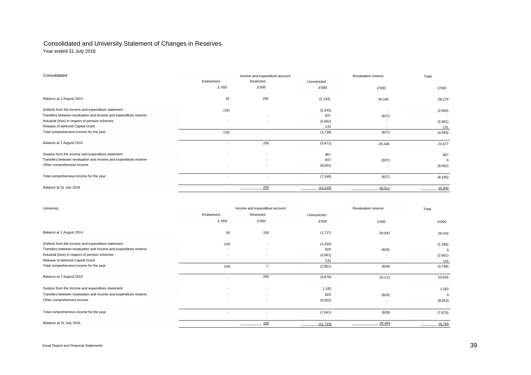# Consolidated and University Statement of Changes in Reserves

Year ended 31 July 2016

| Consolidated                                                     |                          | Income and expenditure account |              | Revaluation reserve      | Total       |
|------------------------------------------------------------------|--------------------------|--------------------------------|--------------|--------------------------|-------------|
|                                                                  | Endowment                | Restricted                     | Unrestricted |                          |             |
|                                                                  | £.'000                   | £'000                          | £'000        | £'000                    | £'000       |
| Balance at 1 August 2014                                         | 18                       | 200                            | (2, 133)     | 30,185                   | 28,270      |
| (Deficit) from the income and expenditure statement              | (18)                     |                                | (2,045)      | $\overline{\phantom{a}}$ | (2,063)     |
| Transfers between revaluation and income and expenditure reserve | $\overline{\phantom{a}}$ | ۰                              | 837          | (837)                    |             |
| Actuarial (loss) in respect of pension schemes                   |                          | $\sim$                         | (2,661)      |                          | (2,661)     |
| Release of deferred Capital Grant                                |                          |                                | 131          | $\overline{a}$           | 131         |
| Total comprehensive income for the year                          | (18)                     | ٠                              | (3,738)      | (837)                    | (4,593)     |
| Balance at 1 August 2015                                         |                          | 200                            | (5,871)      | 29,348                   | 23,677      |
| Surplus from the income and expenditure statement                |                          | ٠                              | 867          |                          | 867         |
| Transfers between revaluation and income and expenditure reserve |                          |                                | 837          | (837)                    | $\mathbf 0$ |
| Other comprehensive income                                       |                          | $\overline{\phantom{a}}$       | (9,052)      |                          | (9,052)     |
| Total comprehensive income for the year                          |                          | ٠                              | (7, 348)     | (837)                    | (8, 185)    |
| Balance at 31 July 2016                                          |                          | 200                            | (13, 219)    | 28,511                   | 15,492      |

| University                                                       | Income and expenditure account |                          |              | Revaluation reserve | Total        |
|------------------------------------------------------------------|--------------------------------|--------------------------|--------------|---------------------|--------------|
|                                                                  | Endowment                      | Restricted               | Unrestricted |                     |              |
|                                                                  | £.'000                         | £'000                    | £'000        | £'000               | £.000        |
| Balance at 1 August 2014                                         | 18                             | 200                      | (1,727)      | 29,942              | 28,433       |
| (Deficit) from the income and expenditure statement              | (18)                           | ٠                        | (1,250)      |                     | (1.268)      |
| Transfers between revaluation and income and expenditure reserve | $\overline{\phantom{a}}$       | $\overline{\phantom{a}}$ | 829          | (829)               | $\mathbf 0$  |
| Actuarial (loss) in respect of pension schemes                   | $\overline{\phantom{a}}$       | ٠                        | (2,661)      |                     | (2.661)      |
| Release of deferred Capital Grant                                |                                |                          | 131          |                     | 131          |
| Total comprehensive income for the year                          | (18)                           | 7                        | (2,951)      | (829)               | (3,798)      |
| Balance at 1 August 2015                                         |                                | 200                      | (4,678)      | 29,113              | 24,635       |
| Surplus from the income and expenditure statement                | $\sim$                         | $\overline{\phantom{a}}$ | 1,182        |                     | 1,182        |
| Transfers between revaluation and income and expenditure reserve | $\sim$                         | ٠                        | 829          | (829)               | $\mathbf{0}$ |
| Other comprehensive income                                       | $\sim$                         | ٠                        | (9,052)      | ٠                   | (9.052)      |
| Total comprehensive income for the year                          |                                | $\overline{\phantom{a}}$ | (7,041)      | (829)               | (7, 870)     |
| Balance at 31 July 2016                                          |                                | 200                      | (11.719)     | 28,284              | 16,765       |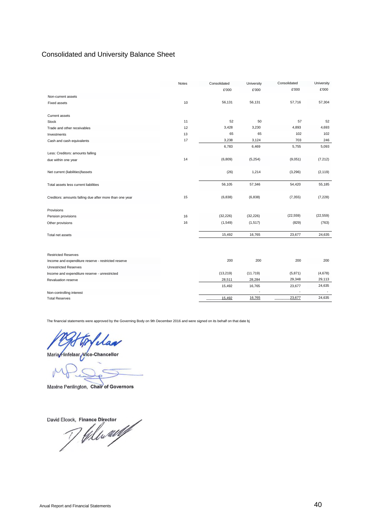# Consolidated and University Balance Sheet

|                                                         | Notes | Consolidated | University | Consolidated | University |
|---------------------------------------------------------|-------|--------------|------------|--------------|------------|
|                                                         |       | £'000        | £'000      | £'000        | £'000      |
| Non-current assets                                      |       |              |            |              |            |
| <b>Fixed assets</b>                                     | 10    | 56,131       | 56,131     | 57,716       | 57,304     |
| <b>Current assets</b>                                   |       |              |            |              |            |
| <b>Stock</b>                                            | 11    | 52           | 50         | 57           | 52         |
| Trade and other receivables                             | 12    | 3,428        | 3,230      | 4,893        | 4,693      |
| Investments                                             | 13    | 65           | 65         | 102          | 102        |
| Cash and cash equivalents                               | 17    | 3,238        | 3,124      | 703          | 246        |
|                                                         |       | 6,783        | 6,469      | 5,755        | 5,093      |
| Less: Creditors: amounts falling                        |       |              |            |              |            |
| due within one year                                     | 14    | (6,809)      | (5, 254)   | (9,051)      | (7.212)    |
| Net current (liabilities)fassets                        |       | (26)         | 1,214      | (3,296)      | (2, 119)   |
| Total assets less current liabilities                   |       | 56,105       | 57,346     | 54,420       | 55,185     |
| Creditors: amounts falling due after more than one year | 15    | (6, 838)     | (6, 838)   | (7, 355)     | (7, 228)   |
| Provisions                                              |       |              |            |              |            |
| Pension provisions                                      | 16    | (32, 226)    | (32, 226)  | (22, 559)    | (22, 559)  |
| Other provisions                                        | 16    | (1, 549)     | (1, 517)   | (829)        | (763)      |
| Total net assets                                        |       | 15,492       | 16,765     | 23,677       | 24,635     |
|                                                         |       |              |            |              |            |
| <b>Restricted Reserves</b>                              |       |              |            |              |            |
| Income and expenditure reserve - restricted reserve     |       | 200          | 200        | 200          | 200        |
| <b>Unrestricted Reserves</b>                            |       |              |            |              |            |
| Income and expenditure reserve - unrestricted           |       | (13, 219)    | (11.719)   | (5,871)      | (4,678)    |
| Revaluation reserve                                     |       | 28,511       | 28,284     | 29,348       | 29,113     |
|                                                         |       | 15,492       | 16,765     | 23,677       | 24,635     |
| Non-controlling interest                                |       |              |            |              |            |
| <b>Total Reserves</b>                                   |       | 15,492       | 16,765     | 23,677       | 24,635     |

The financial statements were approved by the Governing Body on 9th December 2016 and were signed on its behalf on that date bj

Mai

Maria Hinfelaar Vice-Chancellor

Maxine Penlington, Chair of Governors

David Elcock, Finance Director<br>Mally Milly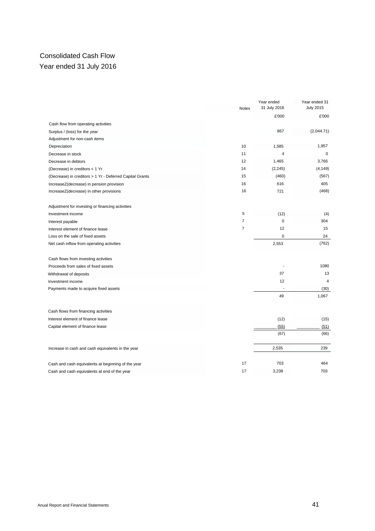# Consolidated Cash Flow Year ended 31 July 2016

|                                                          |                | Year ended   | Year ended 31    |
|----------------------------------------------------------|----------------|--------------|------------------|
|                                                          | <b>Notes</b>   | 31 July 2016 | <b>July 2015</b> |
|                                                          |                | £'000        | £'000            |
| Cash flow from operating activities                      |                |              |                  |
| Surplus / (loss) for the year                            |                | 867          | (2,044.71)       |
| Adjustment for non-cash items                            |                |              |                  |
| Depreciation                                             | 10             | 1,585        | 1,957            |
| Decrease in stock                                        | 11             | 4            | 0                |
| Decrease in debtors                                      | 12             | 1,465        | 3,766            |
| (Decrease) in creditors < 1 Yr                           | 14             | (2, 245)     | (4, 149)         |
| (Decrease) in creditors > 1 Yr - Deferred Capital Grants | 15             | (460)        | (567)            |
| IncreaseZ(decrease) in pension provision                 | 16             | 616          | 405              |
| IncreaseZ(decrease) in other provisions                  | 16             | 721          | (468)            |
| Adjustment for investing or financing activities         |                |              |                  |
| Investment income                                        | 5              | (12)         | (4)              |
| Interest payable                                         | $\overline{7}$ | $\mathbf 0$  | 304              |
| Interest element of finance lease                        | $\overline{7}$ | 12           | 15               |
| Loss on the sale of fixed assets                         |                | $\mathbf 0$  | 24               |
| Net cash inflow from operating activities                |                | 2,553        | (762)            |
| Cash flows from investing activities                     |                |              |                  |
| Proceeds from sales of fixed assets                      |                |              | 1080             |
| Withdrawal of deposits                                   |                | 37           | 13               |
| Investment income                                        |                | 12           | $\overline{4}$   |
| Payments made to acquire fixed assets                    |                |              | (30)             |
|                                                          |                | 49           | 1,067            |
| Cash flows from financing activities                     |                |              |                  |
| Interest element of finance lease                        |                | (12)         | (15)             |
| Capital element of finance lease                         |                | (55)         | (51)             |
|                                                          |                | (67)         | (66)             |
| Increase in cash and cash equivalents in the year        |                | 2,535        | 239              |
| Cash and cash equivalents at beginning of the year       | 17             | 703          | 464              |
| Cash and cash equivalents at end of the year             | 17             | 3,238        | 703              |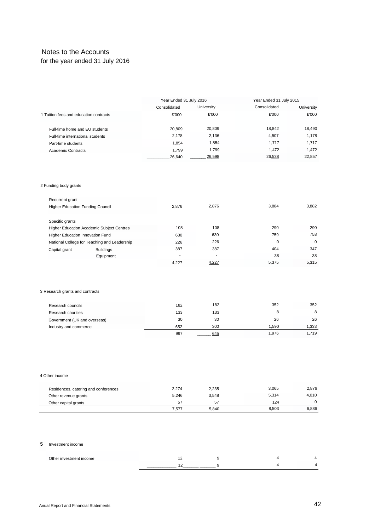# Notes to the Accounts for the year ended 31 July 2016

|                                        | Year Ended 31 July 2016 |            | Year Ended 31 July 2015 |            |
|----------------------------------------|-------------------------|------------|-------------------------|------------|
|                                        | Consolidated            | University | Consolidated            | University |
| 1 Tuition fees and education contracts | £'000                   | £'000      | £'000                   | £'000      |
| Full-time home and EU students         | 20.809                  | 20,809     | 18.842                  | 18.490     |
| Full-time international students       | 2.178                   | 2.136      | 4.507                   | 1.178      |
| Part-time students                     | 1.854                   | 1.854      | 1.717                   | 1.717      |
| Academic Contracts                     | 1.799                   | 1.799      | 1.472                   | 1,472      |
|                                        | 26,640                  | 26,598     | 26,538                  | 22.857     |

#### 2 Funding body grants

| Recurrent grant                         |                                                  |       |       |       |       |
|-----------------------------------------|--------------------------------------------------|-------|-------|-------|-------|
| <b>Higher Education Funding Council</b> |                                                  | 2.876 | 2.876 | 3.884 | 3,882 |
|                                         |                                                  |       |       |       |       |
| Specific grants                         |                                                  |       |       |       |       |
|                                         | <b>Higher Education Academic Subject Centres</b> | 108   | 108   | 290   | 290   |
| Higher Education Innovation Fund        |                                                  | 630   | 630   | 759   | 758   |
|                                         | National College for Teaching and Leadership     | 226   | 226   | 0     | 0     |
| Capital grant                           | <b>Buildings</b>                                 | 387   | 387   | 404   | 347   |
|                                         | Equipment                                        | ٠     | ٠     | 38    | 38    |
|                                         |                                                  | 4.227 | 4,227 | 5.375 | 5.315 |

# 3 Research grants and contracts

| Research councils            | 182 | 182 | 352   | 352   |
|------------------------------|-----|-----|-------|-------|
| Research charities           | 133 | 133 |       | 8     |
| Government (UK and overseas) | 30  | 30  | 26    | 26    |
| Industry and commerce        | 652 | 300 | 1.590 | 1.333 |
|                              | 997 | 645 | 1.976 | 1.719 |

#### 4 Other income

| Residences, catering and conferences | 2,274 | 2,235 | 3,065 | 2.876 |
|--------------------------------------|-------|-------|-------|-------|
| Other revenue grants                 | 5.246 | 3,548 | 5,314 | 4.010 |
| Other capital grants                 | 57    | 57    | 124   |       |
|                                      | 7.577 | 5.840 | 8,503 | 6.886 |

#### **5** Investment income

| Other<br>≏וזו |  |  |
|---------------|--|--|
|               |  |  |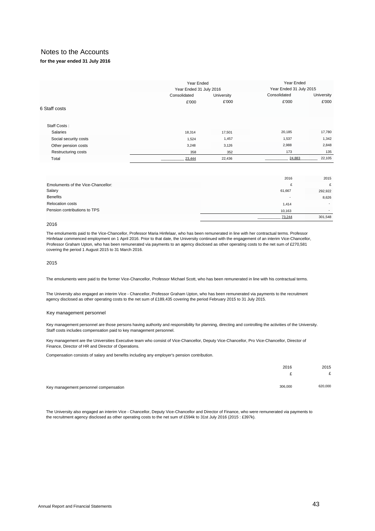# **for the year ended 31 July 2016**

|                       | Year Ended<br>Year Ended 31 July 2016 |            | Year Ended 31 July 2015 | Year Ended       |
|-----------------------|---------------------------------------|------------|-------------------------|------------------|
|                       | Consolidated                          | University | Consolidated            | University       |
|                       | £'000                                 | £'000      | £'000                   | £'000            |
| 6 Staff costs         |                                       |            |                         |                  |
|                       |                                       |            |                         |                  |
| Staff Costs:          |                                       |            |                         |                  |
| <b>Salaries</b>       | 18,314                                | 17,501     | 20,185                  | 17,780           |
| Social security costs | 1,524                                 | 1,457      | 1,537                   | 1,342            |
| Other pension costs   | 3,248                                 | 3,126      | 2,988                   | 2,848            |
| Restructuring costs   | 358                                   | 352        | 173                     | 135              |
| Total                 | 23,444                                | 22,436     |                         | 24,883<br>22,105 |

|                                    | 2016                     | 2015                     |
|------------------------------------|--------------------------|--------------------------|
| Emoluments of the Vice-Chancellor: | c.                       | £                        |
| Salary                             | 61,667                   | 292,922                  |
| <b>Benefits</b>                    | $\overline{\phantom{a}}$ | 8,626                    |
| <b>Relocation costs</b>            | 1,414                    | $\sim$                   |
| Pension contributions to TPS       | 10,163                   | $\overline{\phantom{a}}$ |
|                                    | 73,244                   | 301,548                  |

#### 2016

The emoluments paid to the Vice-Chancellor, Professor Maria Hinfelaar, who has been remunerated in line with her contractual terms. Professor Hinfelaar commenced employment on 1 April 2016. Prior to that date, the University continued with the engagement of an interim Vice-Chancellor, Professor Graham Upton, who has been remunerated via payments to an agency disclosed as other operating costs to the net sum of £270,581 covering the period 1 August 2015 to 31 March 2016.

2015

The emoluments were paid to the former Vice-Chancellor, Professor Michael Scott, who has been remunerated in line with his contractual terms.

The University also engaged an interim Vice - Chancellor, Professor Graham Upton, who has been remunerated via payments to the recruitment agency disclosed as other operating costs to the net sum of £189,435 covering the period February 2015 to 31 July 2015.

#### Key management personnel

Key management personnel are those persons having authority and responsibility for planning, directing and controlling the activities of the University. Staff costs includes compensation paid to key management personnel.

Key management are the Universities Executive team who consist of Vice-Chancellor, Deputy Vice-Chancellor, Pro Vice-Chancellor, Director of Finance, Director of HR and Director of Operations.

Compensation consists of salary and benefits including any employer's pension contribution.

|                                       | 2016    | 2015    |
|---------------------------------------|---------|---------|
|                                       |         | c       |
|                                       |         |         |
| Key management personnel compensation | 306,000 | 620,000 |

The University also engaged an interim Vice - Chancellor, Deputy Vice-Chancellor and Director of Finance, who were remunerated via payments to the recruitment agency disclosed as other operating costs to the net sum of £594k to 31st July 2016 (2015 : £397k).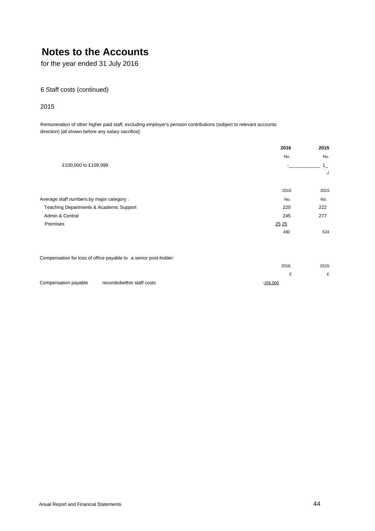for the year ended 31 July 2016

# 6 Staff costs (continued)

# 2015

Remuneration of other higher paid staff, excluding employer's pension contributions (subject to relevant accounts direction) [all shown before any salary sacrifice]:

| 2016  | 2015    |
|-------|---------|
| No.   | No.     |
|       | $1_{-}$ |
|       | $-i$    |
| 2016  | 2015    |
| No.   | No.     |
| 220   | 222     |
| 245   | 277     |
| 25 25 |         |
| 490   | 524     |
|       |         |
|       |         |

Compensation for loss of office payable to a senior post-holder:

|                      |                            | 2016     | 2015   |
|----------------------|----------------------------|----------|--------|
|                      |                            |          | $\sim$ |
| Compensation payable | recordedwithin staff costs | -156,000 |        |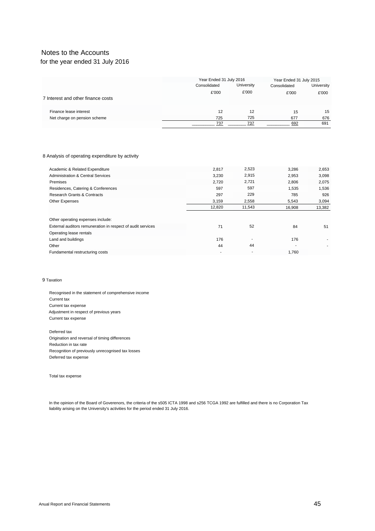# for the year ended 31 July 2016

|                                    | Year Ended 31 July 2016 |            | Year Ended 31 July 2015 |            |
|------------------------------------|-------------------------|------------|-------------------------|------------|
|                                    | Consolidated            | University |                         | University |
|                                    | £'000                   | £'000      | £'000                   | £'000      |
| 7 Interest and other finance costs |                         |            |                         |            |
| Finance lease interest             | 12                      | 12         | 15                      | 15         |
| Net charge on pension scheme       | 725                     | 725        | 677                     | 676        |
|                                    | 737                     | 737        | 692                     | 691        |

#### 8 Analysis of operating expenditure by activity

| Academic & Related Expenditure                              | 2,817  | 2,523  | 3,286  | 2,653  |
|-------------------------------------------------------------|--------|--------|--------|--------|
| <b>Administration &amp; Central Services</b>                | 3,230  | 2,915  | 2,953  | 3,098  |
| Premises                                                    | 2,720  | 2,721  | 2,806  | 2,075  |
| Residences, Catering & Conferences                          | 597    | 597    | 1,535  | 1,536  |
| <b>Research Grants &amp; Contracts</b>                      | 297    | 229    | 785    | 926    |
| <b>Other Expenses</b>                                       | 3,159  | 2,558  | 5,543  | 3,094  |
|                                                             | 12,820 | 11,543 | 16,908 | 13,382 |
|                                                             |        |        |        |        |
| Other operating expenses include:                           |        |        |        |        |
| External auditors remuneration in respect of audit services | 71     | 52     | 84     | 51     |
| Operating lease rentals                                     |        |        |        |        |
| Land and buildings                                          | 176    |        | 176    |        |
| Other                                                       | 44     | 44     |        |        |
| Fundamental restructuring costs                             |        |        | 1.760  |        |

#### 9 Taxation

Recognised in the statement of comprehensive income Current tax Current tax expense Adjustment in respect of previous years Current tax expense

Deferred tax Origination and reversal of timing differences Reduction in tax rate Recognition of previously unrecognised tax losses Deferred tax expense

Total tax expense

In the opinion of the Board of Goverenors, the criteria of the s505 ICTA 1998 and s256 TCGA 1992 are fulfilled and there is no Corporation Tax liability arising on the University's activities for the period ended 31 July 2016.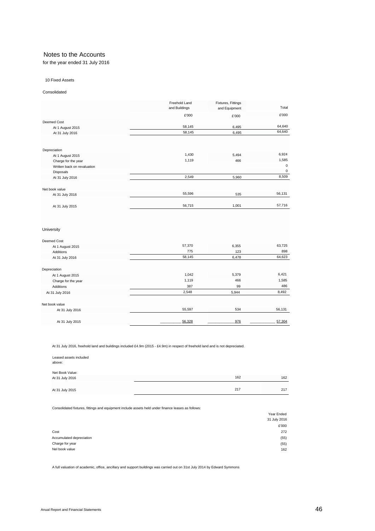for the year ended 31 July 2016

#### 10 Fixed Assets

#### Consolidated

|                             | Freehold Land<br>and Buildings | Fixtures, Fittings<br>and Equipment | Total       |
|-----------------------------|--------------------------------|-------------------------------------|-------------|
|                             | £'000                          | £'000                               | £'000       |
| Deemed Cost                 |                                |                                     |             |
| At 1 August 2015            | 58,145                         | 6,495                               | 64,640      |
| At 31 July 2016             | 58,145                         | 6,495                               | 64,640      |
|                             |                                |                                     |             |
| Depreciation                |                                |                                     |             |
| At 1 August 2015            | 1,430                          | 5,494                               | 6,924       |
| Charge for the year         | 1,119                          | 466                                 | 1,585       |
| Written back on revaluation |                                |                                     | $\mathbf 0$ |
| Disposals                   |                                |                                     | $\mathbf 0$ |
| At 31 July 2016             | 2,549                          | 5,960                               | 8,509       |
| Net book value              |                                |                                     |             |
| At 31 July 2016             | 55,596                         | 535                                 | 56,131      |
|                             |                                |                                     |             |
| At 31 July 2015             | 56,715                         | 1,001                               | 57,716      |
|                             |                                |                                     |             |
|                             |                                |                                     |             |
|                             |                                |                                     |             |

#### University

| Deemed Cost         |        |       |        |
|---------------------|--------|-------|--------|
| At 1 August 2015    | 57,370 | 6,355 | 63,725 |
| Additions           | 775    | 123   | 898    |
| At 31 July 2016     | 58,145 | 6,478 | 64,623 |
| Depreciation        |        |       |        |
| At 1 August 2015    | 1,042  | 5,379 | 6,421  |
| Charge for the year | 1,119  | 466   | 1,585  |
| Additions           | 387    | 99    | 486    |
| At 31 July 2016     | 2,548  | 5,944 | 8,492  |
| Net book value      |        |       |        |
| At 31 July 2016     | 55,597 | 534   | 56,131 |
| At 31 July 2015     | 56,328 | 976   | 57,304 |

At 31 July 2016, freehold land and buildings included £4.9m (2015 - £4.9m) in respect of freehold land and is not depreciated.

| Leased assets included<br>above:   |     |     |
|------------------------------------|-----|-----|
| Net Book Value:<br>At 31 July 2016 | 162 | 162 |
| At 31 July 2015                    | 217 | 217 |

Consolidated fixtures, fittings and equipment include assets held under finance leases as follows:

|                          | Year Ended   |
|--------------------------|--------------|
|                          | 31 July 2016 |
|                          | £'000        |
| Cost                     | 272          |
| Accumulated depreciation | (55)         |
| Charge for year          | (55)         |
| Nel book value           | 162          |

A full valuation of academic, office, ancillary and support buildings was carried out on 31st July 2014 by Edward Symmons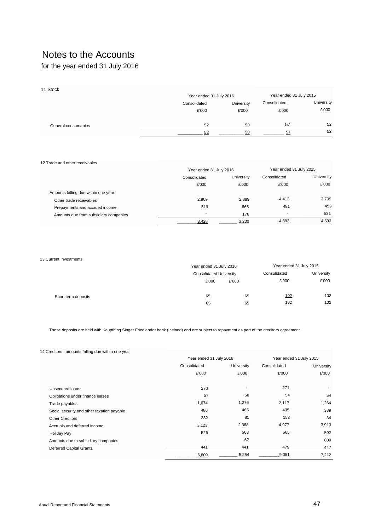for the year ended 31 July 2016

| 11 Stock            |                         |                         |              |            |
|---------------------|-------------------------|-------------------------|--------------|------------|
|                     | Year ended 31 July 2016 | Year ended 31 July 2015 |              |            |
|                     | Consolidated            | University              | Consolidated | University |
|                     | £'000                   | £'000                   | £'000        | £'000      |
| General consumables | 52                      | 50                      | 57           | 52         |
|                     | 52                      | 50                      | 57           | 52         |

| 12 Trade and other receivables        |                          |                         |       |                         |  |
|---------------------------------------|--------------------------|-------------------------|-------|-------------------------|--|
|                                       |                          | Year ended 31 July 2016 |       | Year ended 31 July 2015 |  |
|                                       | Consolidated             | University              |       | University              |  |
|                                       | £'000                    | £'000                   | £'000 | £'000                   |  |
| Amounts falling due within one year:  |                          |                         |       |                         |  |
| Other trade receivables               | 2.909                    | 2.389                   | 4,412 | 3,709                   |  |
| Prepayments and accrued income        | 519                      | 665                     | 481   | 453                     |  |
| Amounts due from subsidiary companies | $\overline{\phantom{a}}$ | 176                     | ۰     | 531                     |  |
|                                       | 3.428                    | 3.230                   | 4,893 | 4,693                   |  |

#### 13 Current Investments

|                     | Year ended 31 July 2016 |                                | Year ended 31 July 2015 |            |
|---------------------|-------------------------|--------------------------------|-------------------------|------------|
|                     |                         | <b>Consolidated University</b> |                         | University |
|                     | £'000                   | £'000                          | £'000                   | £'000      |
| Short term deposits | 65                      | 65                             | 102                     | 102        |
|                     | 65                      | 65                             | 102                     | 102        |

These deposits are held with Kaupthing Singer Friedlander bank (Iceland) and are subject to repayment as part of the creditors agreement.

#### 14 Creditors : amounts falling due within one year

|                                            | Year ended 31 July 2016 |                          | Year ended 31 July 2015 |            |  |
|--------------------------------------------|-------------------------|--------------------------|-------------------------|------------|--|
|                                            | Consolidated            | University               | Consolidated            | University |  |
|                                            | £'000                   | £'000                    | £'000                   | £'000      |  |
|                                            |                         |                          |                         |            |  |
| Unsecured loans                            | 270                     | $\overline{\phantom{a}}$ | 271                     |            |  |
| Obligations under finance leases           | 57                      | 58                       | 54                      | 54         |  |
| Trade payables                             | 1,674                   | 1,276                    | 2,117                   | 1,264      |  |
| Social security and other taxation payable | 486                     | 465                      | 435                     | 389        |  |
| <b>Other Creditors</b>                     | 232                     | 81                       | 153                     | 34         |  |
| Accruals and deferred income               | 3,123                   | 2,368                    | 4,977                   | 3,913      |  |
| <b>Holiday Pay</b>                         | 526                     | 503                      | 565                     | 502        |  |
| Amounts due to subsidiary companies        |                         | 62                       |                         | 609        |  |
| <b>Deferred Capital Grants</b>             | 441                     | 441                      | 479                     | 447        |  |
|                                            | 6,809                   | 5,254                    | 9,051                   | 7,212      |  |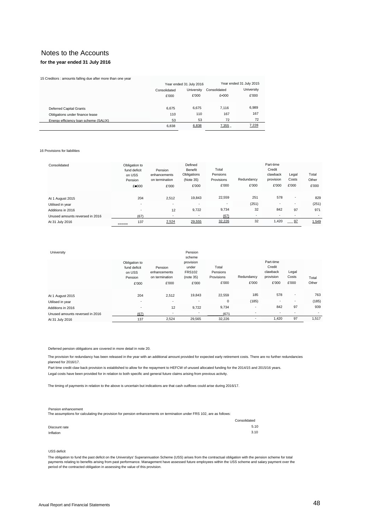### **for the year ended 31 July 2016**

|  | 15 Creditors : amounts falling due after more than one year |
|--|-------------------------------------------------------------|
|--|-------------------------------------------------------------|

|                                       |                            | Year ended 31 July 2016 | Year ended 31 July 2015 |            |  |
|---------------------------------------|----------------------------|-------------------------|-------------------------|------------|--|
|                                       | University<br>Consolidated |                         | Consolidated            | University |  |
|                                       | £'000                      | £'000                   | £•000                   | £'000      |  |
| <b>Deferred Capital Grants</b>        | 6.675                      | 6.675                   | 7.116                   | 6,989      |  |
| Obligations under finance lease       | 110                        | 110                     | 167                     | 167        |  |
| Energy efficiency loan scheme (SALIX) | 53                         | 53                      | 72                      | 72         |  |
|                                       | 6,838                      | 6,838                   | 7,355                   | 7,228      |  |

#### 16 Provisions for liabilities

| Consolidated                    | Obligation to<br>fund deficit<br>on USS<br>Pension<br>£ 000 | Pension<br>enhancements<br>on termination<br>£'000 | Defined<br>Benefit<br>Obligations<br>(Note 35)<br>£'000 | Total<br>Pensions<br>Provisions<br>£'000 | Redundancy<br>£'000 | Part-time<br>Credit<br>clawback<br>provision<br>£'000 | Legal<br>Costs<br>£'000  | Total<br>Other<br>£'000 |
|---------------------------------|-------------------------------------------------------------|----------------------------------------------------|---------------------------------------------------------|------------------------------------------|---------------------|-------------------------------------------------------|--------------------------|-------------------------|
| At 1 August 2015                | 204                                                         | 2,512                                              | 19,843                                                  | 22,559                                   | 251                 | 578                                                   | $\overline{\phantom{a}}$ | 829                     |
| Utilised in year                | $\overline{\phantom{a}}$                                    | $\overline{\phantom{a}}$                           | $\overline{\phantom{a}}$                                | $\overline{\phantom{a}}$                 | (251)               | $\overline{\phantom{a}}$                              | ۰                        | (251)                   |
| Additions in 2016               | ۰.                                                          | 12                                                 | 9,722                                                   | 9,734                                    | 32                  | 842                                                   | 97                       | 971                     |
| Unused amounts reversed in 2016 | (67)                                                        | $\overline{\phantom{a}}$                           | ۰                                                       | (67)                                     |                     | ۰                                                     | ٠                        |                         |
| At 31 July 2016                 | 137<br>-----                                                | 2,524                                              | 29,555                                                  | 32,226                                   | 32                  | 1,420                                                 | $-97$                    | 1,549                   |

| University                      |                                                             |                                                    | Pension<br>scheme                                         |                                          |                     |                                                       |                         |                |
|---------------------------------|-------------------------------------------------------------|----------------------------------------------------|-----------------------------------------------------------|------------------------------------------|---------------------|-------------------------------------------------------|-------------------------|----------------|
|                                 | Obligation to<br>fund deficit<br>on USS<br>Pension<br>£'000 | Pension<br>enhancements<br>on termination<br>£'000 | provision<br>under<br><b>FRS102</b><br>(note 35)<br>£'000 | Total<br>Pensions<br>Provisions<br>£'000 | Redundancy<br>£'000 | Part-time<br>Credit<br>clawback<br>provision<br>£'000 | Legal<br>Costs<br>£'000 | Total<br>Other |
| At 1 August 2015                | 204                                                         | 2,512                                              | 19,843                                                    | 22,559                                   | 185                 | 578                                                   | ٠                       | 763            |
| Utilised in year                | ٠                                                           | ۰.                                                 | $\overline{\phantom{a}}$                                  | 0                                        | (185)               | $\overline{\phantom{a}}$                              | ٠                       | (185)          |
| Additions in 2016               | ٠                                                           | 12                                                 | 9,722                                                     | 9,734                                    |                     | 842                                                   | 97                      | 939            |
| Unused amounts reversed in 2016 | (67)                                                        | ۰                                                  | $\overline{\phantom{a}}$                                  | (671)                                    |                     | $\overline{\phantom{a}}$                              |                         |                |
| At 31 July 2016                 | 137                                                         | 2,524                                              | 29,565                                                    | 32,226                                   |                     | 1,420                                                 | 97                      | 1,517          |
|                                 |                                                             |                                                    |                                                           |                                          |                     |                                                       |                         |                |

#### Deferred pension obligations are covered in more detail in note 20.

The provision for redundancy has been released in the year with an additional amount provided for expected early retirement costs. There are no further redundancies planned for 2016/17.

Part time credit claw back provision is established to allow for the repayment to HEFCW of unused allocated funding for the 2014/15 and 2015/16 years.

Legal costs have been provided for in relation to both specific and general future claims arising from previous activity.

The timing of payments in relation to the above is uncertain but indications are that cash outflows could arise during 2016/17.

#### Pension enhancement

The assumptions for calculating the provision for pension enhancements on termination under FRS 102, are as follows:

|               | Consolidated |
|---------------|--------------|
| Discount rate | 5.10         |
| Inflation     | 3.10         |

#### USS deficit

The obligation to fund the past deficit on the Universitys' Superannuation Scheme (USS) arises from the contractual obligation with the pension scheme for total<br>payments relating to benefits arising from past performance. period of the contracted obligation in assessing the value of this provision.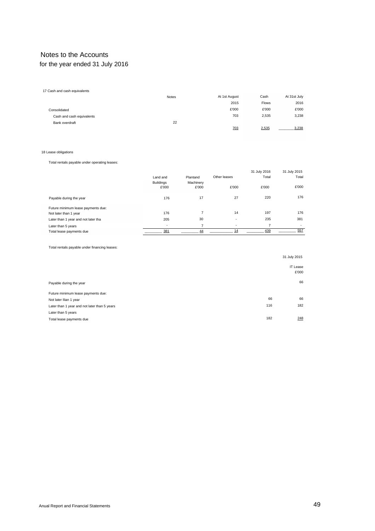# Notes to the Accounts for the year ended 31 July 2016

| 17 Cash and cash equivalents |              |               |              |              |
|------------------------------|--------------|---------------|--------------|--------------|
|                              | <b>Notes</b> | At 1st August | Cash         | At 31st July |
|                              |              | 2015          | <b>Flows</b> | 2016         |
| Consolidated                 |              | £'000         | £'000        | £'000        |
| Cash and cash equivalents    |              | 703           | 2,535        | 3,238        |
| Bank overdraft               | 22           |               |              |              |
|                              |              | 703           | 2,535        | 3,238        |
|                              |              |               |              |              |

#### 18 Lease obligations

Total rentals payable under operating leases:

|                                     |                           |                    |                          | 31 July 2016 | 31 July 2015 |
|-------------------------------------|---------------------------|--------------------|--------------------------|--------------|--------------|
|                                     | Land and                  | Plantand           | Other leases             | Total        | Total        |
|                                     | <b>Buildings</b><br>£'000 | Machinery<br>£'000 | £'000                    | £'000        | £'000        |
| Payable during the year             | 176                       | 17                 | 27                       | 220          | 176          |
| Future minimum lease payments due:  |                           |                    |                          |              |              |
| Not later than 1 year               | 176                       | 7                  | 14                       | 197          | 176          |
| Later than 1 year and not later tha | 205                       | 30                 | $\overline{\phantom{a}}$ | 235          | 381          |
| Later than 5 years                  | $\overline{\phantom{a}}$  | 7                  | $\overline{\phantom{a}}$ | 7            | ۰.           |
| Total lease payments due            | 381                       | 44                 | 14                       | 439          | 557          |

Total rentals payable under financing leases:

|                                              |     | 31 July 2015             |
|----------------------------------------------|-----|--------------------------|
|                                              |     | <b>IT Lease</b><br>£'000 |
| Payable during the year                      |     | 66                       |
| Future minimum lease payments due:           |     |                          |
| Not later Ilian 1 year                       | 66  | 66                       |
| Later than 1 year and not later than 5 years | 116 | 182                      |
| Later than 5 years                           |     |                          |
| Total lease payments due                     | 182 | 248                      |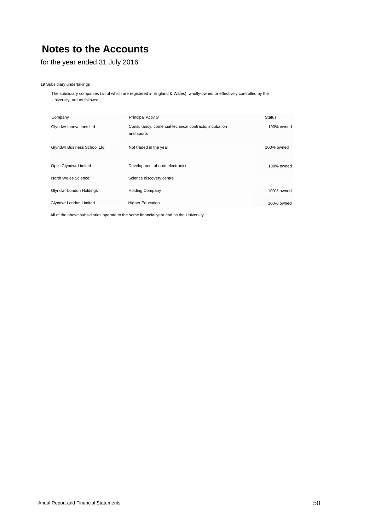for the year ended 31 July 2016

#### 19 Subsidiary undertakings

The subsidiary companies (all of which are registered in England & Wales), wholly-owned or effectively controlled by the University, are as follows:

| Company                        | <b>Principal Activity</b>                                            | <b>Status</b> |
|--------------------------------|----------------------------------------------------------------------|---------------|
| Glyndwr Innovations Ltd        | Consultancy, comercial technical contracts, incubation<br>and sports | 100% owned    |
| Glyndwr Business School Ltd    | Not traded in the year                                               | 100% owned    |
| Optic Glyndwr Limited          | Development of opto-electronics                                      | 100% owned    |
| North Wales Science            | Science discovery centre                                             |               |
| <b>Glyndwr London Holdings</b> | <b>Holding Company</b>                                               | 100% owned    |
| Glyndwr London Limited         | <b>Higher Education</b>                                              | 100% owned    |

All of the above subsidiaries operate to the same financial year end as the University.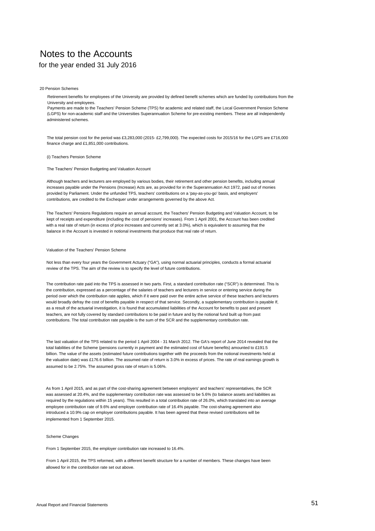## for the year ended 31 July 2016

20 Pension Schemes

Retirement benefits for employees of the University are provided by defined benefit schemes which are funded by contributions from the University and employees.

Payments are made to the Teachers' Pension Scheme (TPS) for academic and related staff, the Local Government Pension Scheme (LGPS) for non-academic staff and the Universities Superannuation Scheme for pre-existing members. These are all independently administered schemes.

The total pension cost for the period was £3,283,000 (2015- £2,799,000). The expected costs for 2015/16 for the LGPS are £716,000 finance charge and £1,851,000 contributions.

#### (i) Teachers Pension Scheme

The Teachers' Pension Budgeting and Valuation Account

Although teachers and lecturers are employed by various bodies, their retirement and other pension benefits, including annual increases payable under the Pensions (Increase) Acts are, as provided for in the Superannuation Act 1972, paid out of monies provided by Parliament. Under the unfunded TPS, teachers' contributions on a 'pay-as-you-go' basis, and employers' contributions, are credited to the Exchequer under arrangements governed by the above Act.

The Teachers' Pensions Regulations require an annual account, the Teachers' Pension Budgeting and Valuation Account, to be kept of receipts and expenditure (including the cost of pensions' increases). From 1 April 2001, the Account has been credited with a real rate of return (in excess of price increases and currently set at 3.0%), which is equivalent to assuming that the balance in the Account is invested in notional investments that produce that real rate of return.

#### Valuation of the Teachers' Pension Scheme

Not less than every four years the Government Actuary ("GA"), using normal actuarial principles, conducts a formal actuarial review of the TPS. The aim of the review is to specify the level of future contributions.

The contribution rate paid into the TPS is assessed in two parts. First, a standard contribution rate ("SCR") is determined. This Is the contribution, expressed as a percentage of the salaries of teachers and lecturers in service or entering service during the period over which the contribution rate applies, which if it were paid over the entire active service of these teachers and lecturers would broadly defray the cost of benefits payable in respect of that service. Secondly, a supplementary contribution is payable If, as a result of the actuarial investigation, it is found that accumulated liabilities of the Account for benefits to past and present teachers, are not fully covered by standard contributions to be paid in future and by the notional fund built up from past contributions. The total contribution rate payable is the sum of the SCR and the supplementary contribution rate.

The last valuation of the TPS related to the period 1 April 2004 - 31 March 2012. The GA's report of June 2014 revealed that the total liabilities of the Scheme (pensions currently in payment and the estimated cost of future benefits) amounted to £191.5 billion. The value of the assets (estimated future contributions together with the proceeds from the notional investments held at the valuation date) was £176.6 billion. The assumed rate of return is 3.0% in excess of prices. The rate of real earnings growth is assumed to be 2.75%. The assumed gross rate of return is 5.06%.

As from 1 April 2015, and as part of the cost-sharing agreement between employers' and teachers' representatives, the SCR was assessed at 20.4%, and the supplementary contribution rate was assessed to be 5.6% (to balance assets and liabilities as required by the regulations within 15 years). This resulted in a total contribution rate of 26.0%, which translated into an average employee contribution rate of 9.6% and employer contribution rate of 16.4% payable. The cost-sharing agreement also introduced a 10.9% cap on employer contributions payable. It has been agreed that these revised contributions will be implemented from 1 September 2015.

#### Scheme Changes

From 1 September 2015, the employer contribution rate increased to 16.4%.

From 1 April 2015, the TPS reformed, with a different benefit structure for a number of members. These changes have been allowed for in the contribution rate set out above.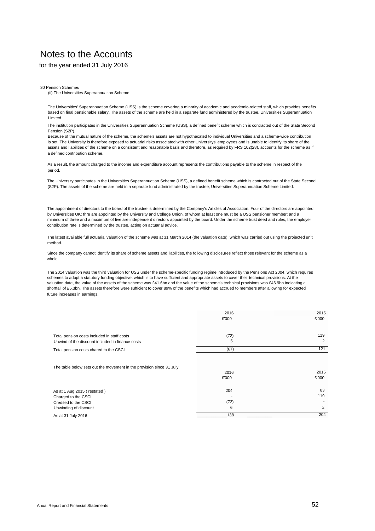# for the year ended 31 July 2016

20 Pension Schemes

(ii) The Universities Superannuation Scheme

The Universities' Superannuation Scheme (USS) is the scheme covering a minority of academic and academic-related staff, which provides benefits based on final pensionable salary. The assets of the scheme are held in a separate fund administered by the trustee, Universities Superannuation Limited.

The institution participates in the Universities Superannuation Scheme (USS), a defined benefit scheme which is contracted out of the State Second Pension (S2P).

Because of the mutual nature of the scheme, the scheme's assets are not hypothecated to individual Universities and a scheme-wide contribution is set. The University is therefore exposed to actuarial risks associated with other Universitys' employees and is unable to identify its share of the assets and liabilities of the scheme on a consistent and reasonable basis and therefore, as required by FRS 102(28), accounts for the scheme as if a defined contribution scheme.

As a result, the amount charged to the income and expenditure account represents the contributions payable to the scheme in respect of the period.

The University participates in the Universities Superannuation Scheme (USS), a defined benefit scheme which is contracted out of the State Second (S2P). The assets of the scheme are held in a separate fund administrated by the trustee, Universities Superannuation Scheme Limited.

The appointment of directors to the board of the trustee is determined by the Company's Articles of Association. Four of the directors are appointed by Universities UK; thre are appointed by the University and College Union, of whom at least one must be a USS pensioner member; and a minimum of three and a maximum of five are independent directors appointed by the board. Under the scheme trust deed and rules, the employer contribution rate is determined by the trustee, acting on actuarial advice.

The latest available full actuarial valuation of the scheme was at 31 March 2014 (the valuation date), which was carried out using the projected unit method.

Since the company cannot identify its share of scheme assets and liabilities, the following disclosures reflect those relevant for the scheme as a whole.

The 2014 valuation was the third valuation for USS under the scheme-specific funding regime introduced by the Pensions Act 2004, which requires schemes to adopt a statutory funding objective, which is to have sufficient and appropriate assets to cover their technical provisions. At the valuation date, the value of the assets of the scheme was £41.6bn and the value of the scheme's technical provisions was £46.9bn indicating a shortfall of £5.3bn. The assets therefore were sufficient to cover 89% of the benefits which had accrued to members after allowing for expected future increases in earnings.

|                                                                                                 | 2016<br>£'000 | 2015<br>£'000 |
|-------------------------------------------------------------------------------------------------|---------------|---------------|
| Total pension costs included in staff costs<br>Unwind of the discount included in finance costs | (72)<br>5     | 119<br>2      |
| Total pension costs chared to the CSCI                                                          | (67)          | 121           |
| The table below sets out the movement in the provision since 31 July                            | 2016<br>£'000 | 2015<br>£'000 |
| As at 1 Aug 2015 (restated)                                                                     | 204           | 83            |
| Charged to the CSCI                                                                             |               | 119           |
| Credited to the CSCI                                                                            | (72)          |               |
| Unwinding of discount                                                                           | 6             | 2             |
| As at 31 July 2016                                                                              | 138           | 204           |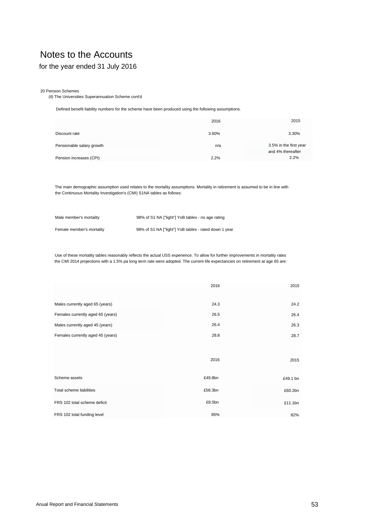# for the year ended 31 July 2016

#### 20 Pension Schemes

(il) The Universities Superannuation Scheme cont'd

Defined benefit liability numbers for the scheme have been produced using the following assumptions.

|                           | 2016  | 2015                                        |
|---------------------------|-------|---------------------------------------------|
| Discount rate             | 3.60% | 3.30%                                       |
| Pensionable salary growth | n/a   | 3.5% in the first year<br>and 4% thereafter |
| Pension increases (CPI)   | 2.2%  | 2.2%                                        |

The main demographic assumption used relates to the mortality assumptions. Mortality in retirement is assumed to be in line with the Continuous Mortality Investigation's (CMI) S1NA tables as follows:

| Male member's mortality   | 98% of S1 NA ["light"] YoB tables - no age rating     |
|---------------------------|-------------------------------------------------------|
| Female member's mortality | 98% of S1 NA ["light"] YoB tables - rated down 1 year |

Use of these mortality tables reasonably reflects the actual USS experience. To allow for further improvements in mortality rates the CMI 2014 projections with a 1.5% pa long term rate were adopted. The current life expectancies on retirement at age 65 are:

|                                   | 2016    | 2015     |
|-----------------------------------|---------|----------|
| Males currently aged 65 (years)   | 24.3    | 24.2     |
| Females currently aged 65 (years) | 26.5    | 26.4     |
| Males currently aged 45 (years)   | 26.4    | 26.3     |
| Females currently aged 45 (years) | 28.8    | 28.7     |
|                                   |         |          |
|                                   | 2016    | 2015     |
| Scheme assets                     | £49.8bn | £49.1 bn |
| Total scheme liabilities          | £58.3bn | £60.2bn  |
| FRS 102 total scheme deficit      | £8.5bn  | £11.1bn  |
| FRS 102 total funding level       | 85%     | 82%      |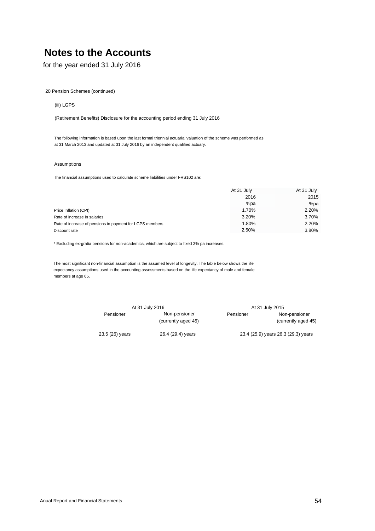for the year ended 31 July 2016

20 Pension Schemes (continued)

### (iii) LGPS

(Retirement Benefits) Disclosure for the accounting period ending 31 July 2016

The following information is based upon the last formal triennial actuarial valuation of the scheme was performed as at 31 March 2013 and updated at 31 July 2016 by an independent qualified actuary.

### Assumptions

The financial assumptions used to calculate scheme liabilities under FRS102 are:

|                                                          | At 31 July |       |
|----------------------------------------------------------|------------|-------|
|                                                          | 2016       | 2015  |
|                                                          | %pa        | %pa   |
| Price Inflation (CPI)                                    | 1.70%      | 2.20% |
| Rate of increase in salaries                             | 3.20%      | 3.70% |
| Rate of increase of pensions in payment for LGPS members | 1.80%      | 2.20% |
| Discount rate                                            | 2.50%      | 3.80% |

\* Excluding ex-gratia pensions for non-academics, which are subject to fixed 3% pa increases.

The most significant non-financial assumption is the assumed level of longevity. The table below shows the life expectancy assumptions used in the accounting assessments based on the life expectancy of male and female members at age 65.

|                 | At 31 July 2016                      |           | At 31 July 2015                      |
|-----------------|--------------------------------------|-----------|--------------------------------------|
| Pensioner       | Non-pensioner<br>(currently aged 45) | Pensioner | Non-pensioner<br>(currently aged 45) |
| 23.5 (26) years | 26.4 (29.4) years                    |           | 23.4 (25.9) years 26.3 (29.3) years  |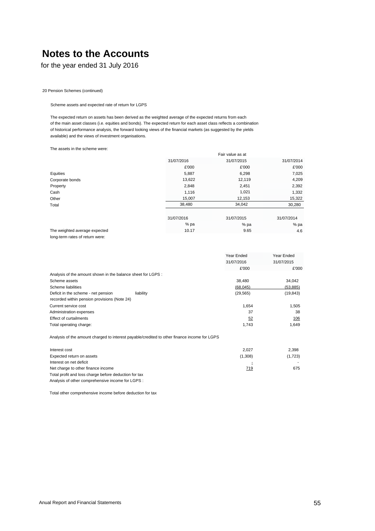for the year ended 31 July 2016

20 Pension Schemes (continued)

Scheme assets and expected rate of return for LGPS

The expected return on assets has been derived as the weighted average of the expected returns from each of the main asset classes (i.e. equities and bonds). The expected return for each asset class reflects a combination of historical performance analysis, the forward looking views of the financial markets (as suggested by the yields available) and the views of investment organisations.

The assets in the scheme were:

|                                 |            | Fair value as at |            |  |
|---------------------------------|------------|------------------|------------|--|
|                                 | 31/07/2016 | 31/07/2015       | 31/07/2014 |  |
|                                 | £'000      | £'000            | £'000      |  |
| Equities                        | 5,887      | 6,298            | 7,025      |  |
| Corporate bonds                 | 13,622     | 12,119           | 4,209      |  |
| Property                        | 2,848      | 2,451            | 2,392      |  |
| Cash                            | 1,116      | 1,021            | 1,332      |  |
| Other                           | 15,007     | 12,153           | 15,322     |  |
| Total                           | 38,480     | 34,042           | 30,280     |  |
|                                 | 31/07/2016 | 31/07/2015       | 31/07/2014 |  |
|                                 | % pa       | % pa             | %pa        |  |
| The weighted average expected   | 10.17      | 9.65             | 4.6        |  |
| long-term rates of return were: |            |                  |            |  |

|                                                              |           | Year Ended | Year Ended |
|--------------------------------------------------------------|-----------|------------|------------|
|                                                              |           | 31/07/2016 | 31/07/2015 |
|                                                              |           | £'000      | £'000      |
| Analysis of the amount shown in the balance sheet for LGPS : |           |            |            |
| Scheme assets                                                |           | 38.480     | 34,042     |
| Scheme liabilities                                           |           | (68,045)   | (53, 885)  |
| Deficit in the scheme - net pension                          | liability | (29, 565)  | (19, 843)  |
| recorded within pension provisions (Note 24)                 |           |            |            |
| Current service cost                                         |           | 1.654      | 1.505      |
| Administration expenses                                      |           | 37         | 38         |
| Effect of curtailments                                       |           | 52         | 106        |
| Total operating charge:                                      |           | 1,743      | 1.649      |
|                                                              |           |            |            |

Analysis of the amount charged to interest payable/credited to other finance income for LGPS

| Interest cost                                         | 2.027   | 2.398   |
|-------------------------------------------------------|---------|---------|
| Expected return on assets                             | (1,308) | (1,723) |
| Interest on net deficit                               | Ξ       |         |
| Net charge to other finance income                    | 719     | 675     |
| Total profit and loss charge before deduction for tax |         |         |
| Analysis of other comprehensive income for LGPS :     |         |         |

Total other comprehensive income before deduction for tax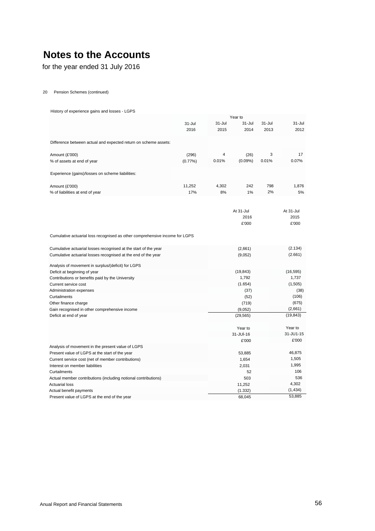for the year ended 31 July 2016

20 Pension Schemes (continued)

History of experience gains and losses - LGPS

|                                                                             |            |        | Year to        |        |           |
|-----------------------------------------------------------------------------|------------|--------|----------------|--------|-----------|
|                                                                             | 31-Jul     | 31-Jul | $31 -$ Jul     | 31-Jul | 31-Jul    |
|                                                                             | 2016       | 2015   | 2014           | 2013   | 2012      |
| Difference between actual and expected return on scheme assets:             |            |        |                |        |           |
| Amount (£'000)                                                              | (296)      | 4      | (26)           | 3      | 17        |
| % of assets at end of year                                                  | $(0.77\%)$ | 0.01%  | $(0.09\%)$     | 0.01%  | 0.07%     |
| Experience (gains)/losses on scheme liabilities:                            |            |        |                |        |           |
| Amount (£'000)                                                              | 11,252     | 4,302  | 242            | 798    | 1,876     |
| % of liabilities at end of year                                             | 17%        | 8%     | 1%             | 2%     | 5%        |
|                                                                             |            |        |                |        |           |
|                                                                             |            |        | At 31-Jul      |        | At 31-Jul |
|                                                                             |            |        | 2016           |        | 2015      |
|                                                                             |            |        | £'000          |        | £'000     |
| Cumulative actuarial loss recognised as other comprehensive income for LGPS |            |        |                |        |           |
| Cumulative actuarial losses recognised at the start of the year             |            |        | (2,661)        |        | (2.134)   |
| Cumulative actuarial losses recognised at the end of the year               |            |        | (9,052)        |        | (2.661)   |
| Analysis of movement in surplus/(deficit) for LGPS                          |            |        |                |        |           |
| Deficit at beginning of year                                                |            |        | (19, 843)      |        | (16, 595) |
| Contributions or benefits paid by the University                            |            |        | 1,792          |        | 1,737     |
| Current service cost                                                        |            |        | (1.654)        |        | (1,505)   |
| Administration expenses                                                     |            |        | (37)           |        | (38)      |
| Curtailments                                                                |            |        | (52)           |        | (106)     |
| Other finance charge                                                        |            |        | (719)          |        | (675)     |
| Gain recognised in other comprehensive income                               |            |        | (9,052)        |        | (2,661)   |
| Deficit at end of year                                                      |            |        | (29, 565)      |        | (19, 843) |
|                                                                             |            |        | Year to        |        | Year to   |
|                                                                             |            |        | $31 - JU - 16$ |        | 31-JU1-15 |
|                                                                             |            |        | £'000          |        | £'000     |
| Analysis of movement in the present value of LGPS                           |            |        |                |        |           |
| Present value of LGPS at the start of the year                              |            |        | 53,885         |        | 46,875    |
| Current service cost (net of member contributions)                          |            |        | 1,654          |        | 1,505     |
| Interest on member liabilities                                              |            |        | 2,031          |        | 1,995     |
| Curtailments                                                                |            |        | 52             |        | 106       |
| Actual member contributions (including notional contributions)              |            |        | 503            |        | 536       |
| <b>Actuarial loss</b>                                                       |            |        | 11,252         |        | 4,302     |
| Actual benefit payments                                                     |            |        | (1.332)        |        | (1, 434)  |
| Present value of LGPS at the end of the year                                |            |        | 68,045         |        | 53,885    |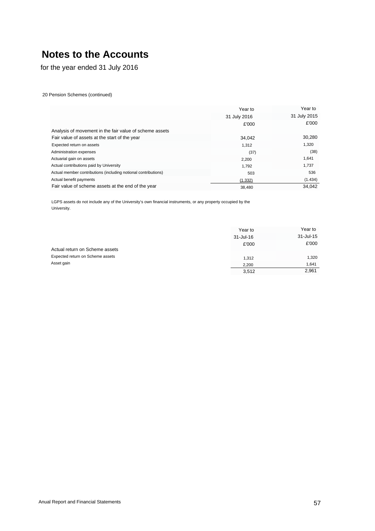for the year ended 31 July 2016

20 Pension Schemes (continued)

|                                                                | Year to      | Year to      |
|----------------------------------------------------------------|--------------|--------------|
|                                                                | 31 July 2016 | 31 July 2015 |
|                                                                | £'000        | £'000        |
| Analysis of movement in the fair value of scheme assets        |              |              |
| Fair value of assets at the start of the year                  | 34,042       | 30,280       |
| Expected return on assets                                      | 1.312        | 1,320        |
| Administration expenses                                        | (37)         | (38)         |
| Actuarial gain on assets                                       | 2,200        | 1,641        |
| Actual contributions paid by University                        | 1.792        | 1,737        |
| Actual member contributions (including notional contributions) | 503          | 536          |
| Actual benefit payments                                        | (1.332)      | (1.434)      |
| Fair value of scheme assets at the end of the year             | 38.480       | 34.042       |

LGPS assets do not include any of the University's own financial instruments, or any property occupied by the University.

|                                  | Year to   | Year to       |
|----------------------------------|-----------|---------------|
|                                  | 31-Jul-16 | $31 -$ Jul-15 |
|                                  | £'000     | £'000         |
| Actual return on Scheme assets   |           |               |
| Expected return on Scheme assets | 1.312     | 1,320         |
| Asset gain                       | 2.200     | 1.641         |
|                                  | 3,512     | 2,961         |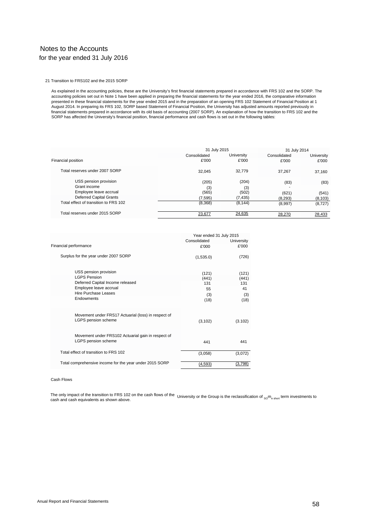# Notes to the Accounts for the year ended 31 July 2016

21 Transition to FRS102 and the 2015 SORP

As explained in the accounting policies, these are the University's first financial statements prepared in accordance with FRS 102 and the SORP. The accounting policies set out in Note 1 have been applied in preparing the financial statements for the year ended 2016, the comparative information presented in these financial statements for the year ended 2015 and in the preparation of an opening FRS 102 Statement of Financial Position at 1<br>August 2014. In preparing its FRS 102, SORP based Statement of Financial Pos financial statements prepared in accordance with its old basis of accounting (2007 SORP). An explanation of how the transition to FRS 102 and the<br>SORP has affected the University's financial position, financial performance

|                                       |              | 31 July 2015 |              |            |  |
|---------------------------------------|--------------|--------------|--------------|------------|--|
|                                       | Consolidated | University   | Consolidated | University |  |
| Financial position                    | £'000        | £'000        | £'000        | £'000      |  |
| Total reserves under 2007 SORP        | 32.045       | 32.779       | 37.267       | 37.160     |  |
| USS pension provision                 | (205)        | (204)        | (83)         | (83)       |  |
| Grant income                          | (3)          | (3)          |              |            |  |
| Employee leave accrual                | (565)        | (502)        | (621)        | (541)      |  |
| <b>Deferred Capital Grants</b>        | (7, 595)     | (7, 435)     | (8, 293)     | (8, 103)   |  |
| Total effect of transition to FRS 102 | (8,368)      | (8, 144)     | (8,997)      | (8, 727)   |  |
| Total reserves under 2015 SORP        | 23,677       | 24,635       | 28,270       | 28,433     |  |

|                                                                            | Year ended 31 July 2015 |                   |  |
|----------------------------------------------------------------------------|-------------------------|-------------------|--|
|                                                                            | Consolidated            | <b>University</b> |  |
| Financial performance                                                      | £'000                   | £'000             |  |
| Surplus for the year under 2007 SORP                                       | (1,535.0)               | (726)             |  |
| USS pension provision                                                      | (121)                   | (121)             |  |
| I GPS Pension                                                              | (441)                   | (441)             |  |
| Deferred Capital Income released                                           | 131                     | 131               |  |
| Employee leave accrual                                                     | 55                      | 41                |  |
| Hire Purchase Leases                                                       | (3)                     | (3)               |  |
| Endowments                                                                 | (18)                    | (18)              |  |
| Movement under FRS17 Actuarial (loss) in respect of<br>LGPS pension scheme | (3, 102)                | (3.102)           |  |
| Movement under FRS102 Actuarial gain in respect of<br>LGPS pension scheme  | 441                     | 441               |  |
| Total effect of transition to FRS 102                                      | (3,058)                 | (3,072)           |  |
| Total comprehensive income for the year under 2015 SORP                    | (4,593)                 | (3,798)           |  |

#### Cash Flows

The only impact of the transition to FRS 102 on the cash flows of the University or the Group is the reclassification of <sub>so</sub>m<sub>e short</sub> term investments to<br>cash and cash aquivalents as shown above cash and cash equivalents as shown above.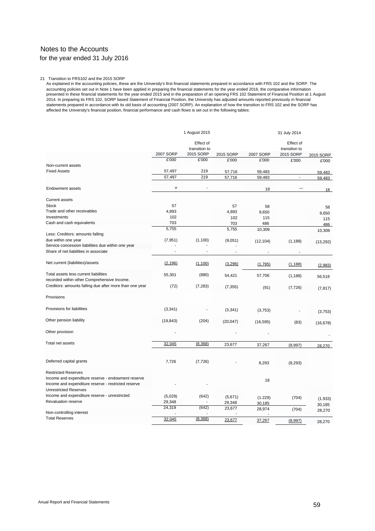# Notes to the Accounts for the year ended 31 July 2016

#### 21 Transition to FRS102 and the 2015 SORP

As explained in the accounting policies, these are the University's first financial statements prepared in accordance with FRS 102 and the SORP. The accounting policies set out in Note 1 have been applied in preparing the financial statements for the year ended 2016, the comparative information<br>presented in these financial statements for the year ended 2015 and in the 2014. In preparing its FRS 102, SORP based Statement of Financial Position, the University has adjusted amounts reported previously in financial statements prepared in accordance with its old basis of accounting (2007 SORP). An explanation of how the transition to FRS 102 and the SORP has affected the University's financial position, financial performance and cash flows is set out in the following tables:

|                                                                                                           |                    | 1 August 2015              |           |           | 31 July 2014               |           |
|-----------------------------------------------------------------------------------------------------------|--------------------|----------------------------|-----------|-----------|----------------------------|-----------|
|                                                                                                           |                    | Effect of<br>transition to |           |           | Effect of<br>transition to |           |
|                                                                                                           | 2007 SORP          | 2015 SORP                  | 2015 SORP | 2007 SORP | 2015 SORP                  | 2015 SORP |
|                                                                                                           | £'000              | £'000                      | £'000     | £'000     | £'000                      | £'000     |
| Non-current assets                                                                                        |                    |                            |           |           |                            |           |
| <b>Fixed Assets</b>                                                                                       | 57,497             | 219                        | 57,716    | 59,483    | $\overline{\phantom{a}}$   | 59.483    |
|                                                                                                           | 57,497             | 219                        | 57,716    | 59,483    |                            | 59.483    |
| <b>Endowment assets</b>                                                                                   | $\rangle\!\rangle$ | $\overline{a}$             |           | 18        |                            | 18        |
| <b>Current assets</b>                                                                                     |                    |                            |           |           |                            |           |
| <b>Stock</b>                                                                                              | 57                 |                            | 57        | 58        |                            | 58        |
| Trade and other receivables                                                                               | 4,893              |                            | 4,893     | 9,650     |                            | 9,650     |
| Investments                                                                                               | 102                |                            | 102       | 115       |                            | 115       |
| Cash and cash equivalents                                                                                 | 703                |                            | 703       | 486       |                            | 486       |
|                                                                                                           | 5,755              |                            | 5,755     | 10,309    |                            | 10,309    |
| Less: Creditors: amounts falling                                                                          |                    |                            |           |           |                            |           |
| due within one year                                                                                       | (7, 951)           | (1,100)                    | (9,051)   | (12, 104) | (1, 188)                   | (13, 292) |
| Service concession liabilities due within one year                                                        |                    |                            |           |           |                            |           |
| Share of net liabilities in associate                                                                     |                    |                            |           |           |                            |           |
| Net current (liabilities)/assets                                                                          | (2, 196)           | (1,100)                    | (3,296)   | (1,795)   | (1, 188)                   | (2,983)   |
| Total assets less current liabilities<br>recorded within other Comprehensive Income.                      | 55,301             | (880)                      | 54,421    | 57,706    | (1, 188)                   | 56,518    |
| Creditors: amounts falling due after more than one year                                                   | (72)               | (7, 283)                   | (7, 355)  | (91)      | (7, 726)                   | (7, 817)  |
| Provisions                                                                                                |                    |                            |           |           |                            |           |
| Provisions for liabilities                                                                                | (3, 341)           |                            | (3, 341)  | (3,753)   |                            | (3,753)   |
| Other pension liability                                                                                   | (19, 843)          | (204)                      | (20, 047) | (16, 595) | (83)                       | (16, 678) |
| Other provision                                                                                           |                    |                            |           |           |                            |           |
| Total net assets                                                                                          | 32,045             | (8, 368)                   | 23,677    | 37,267    |                            |           |
|                                                                                                           |                    |                            |           |           | (8,997)                    | 28.270    |
| Deferred capital grants                                                                                   | 7,726              | (7, 726)                   |           | 8,293     | (8, 293)                   |           |
| <b>Restricted Reserves</b>                                                                                |                    |                            |           |           |                            |           |
| Income and expenditure reserve - endowment reserve<br>Income and expenditure reserve - restricted reserve |                    |                            |           | 18        |                            |           |
| <b>Unrestricted Reserves</b>                                                                              |                    |                            |           |           |                            |           |
| Income and expenditure reserve - unrestricted                                                             | (5,029)            | (642)                      | (5,671)   | (1.229)   | (704)                      | (1.933)   |
| Revaluation reserve                                                                                       | 29,348             |                            | 29,348    | 30,185    |                            | 30,185    |
|                                                                                                           | 24,319             | (642)                      | 23,677    | 28,974    | (704)                      | 28,270    |
| Non-controlling interest<br><b>Total Reserves</b>                                                         |                    |                            |           |           |                            |           |
|                                                                                                           | 32,045             | (8,368)                    | 23,677    | 37,267    | (8,997)                    | 28.270    |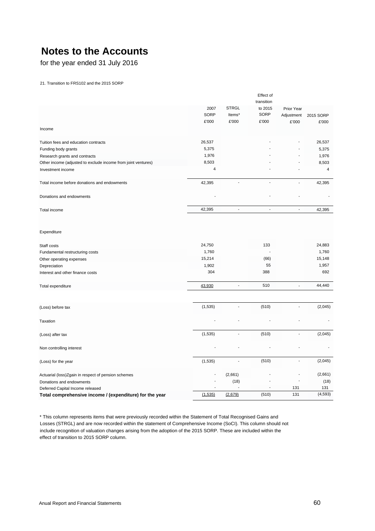for the year ended 31 July 2016

21. Transition to FRS102 and the 2015 SORP

|                                                                                                           |                                    |                          | Effect of         |                          |                                    |
|-----------------------------------------------------------------------------------------------------------|------------------------------------|--------------------------|-------------------|--------------------------|------------------------------------|
|                                                                                                           |                                    |                          | transition        |                          |                                    |
|                                                                                                           | 2007                               | <b>STRGL</b>             | to 2015           | Prior Year               |                                    |
|                                                                                                           | SORP                               | Items*                   | SORP              | Adjustment               | 2015 SORP                          |
|                                                                                                           | £'000                              | £'000                    | £'000             | £'000                    | £'000                              |
| Income                                                                                                    |                                    |                          |                   |                          |                                    |
| Tuition fees and education contracts                                                                      | 26,537                             |                          |                   |                          | 26,537                             |
| Funding body grants                                                                                       | 5,375                              |                          |                   |                          | 5,375                              |
| Research grants and contracts                                                                             | 1,976                              |                          |                   |                          | 1,976                              |
| Other income (adjusted to exclude income from joint ventures)                                             | 8,503                              |                          |                   |                          | 8,503                              |
| Investment income                                                                                         | $\overline{4}$                     |                          |                   |                          | 4                                  |
| Total income before donations and endowments                                                              | 42,395                             | ÷                        | $\overline{a}$    |                          | 42,395                             |
| Donations and endowments                                                                                  |                                    |                          |                   |                          |                                    |
| Total income                                                                                              | 42,395                             | $\blacksquare$           | ÷,                | $\blacksquare$           | 42,395                             |
| Expenditure<br>Staff costs<br>Fundamental restructuring costs<br>Other operating expenses<br>Depreciation | 24,750<br>1,760<br>15,214<br>1,902 |                          | 133<br>(66)<br>55 |                          | 24,883<br>1,760<br>15,148<br>1,957 |
| Interest and other finance costs                                                                          | 304                                |                          | 388               |                          | 692                                |
| Total expenditure                                                                                         | 43,930                             | $\overline{\phantom{a}}$ | 510               | $\overline{\phantom{a}}$ | 44,440                             |
| (Loss) before tax                                                                                         | (1, 535)                           | $\overline{\phantom{a}}$ | (510)             | L.                       | (2,045)                            |
| Taxation                                                                                                  |                                    |                          |                   |                          |                                    |
| (Loss) after tax                                                                                          | (1, 535)                           | $\overline{a}$           | (510)             | $\overline{a}$           | (2,045)                            |
| Non controlling interest                                                                                  |                                    |                          |                   |                          |                                    |
| (Loss) for the year                                                                                       | (1, 535)                           |                          | (510)             | ÷.                       | (2,045)                            |
| Actuarial (loss)Zgain in respect of pension schemes                                                       |                                    | (2,661)                  |                   |                          | (2,661)                            |
| Donations and endowments                                                                                  |                                    | (18)                     |                   |                          | (18)                               |
| Deferred Capital Income released                                                                          |                                    |                          |                   | 131                      | 131                                |
| Total comprehensive income / (expenditure) for the year                                                   | (1, 535)                           | (2,679)                  | (510)             | 131                      | (4, 593)                           |

<span id="page-60-0"></span>\* This column represents items that were previously recorded within the Statement of Total Recognised Gains and Losses (STRGL) and are now recorded within the statement of Comprehensive Income (SoCI). This column should not include recognition of valuation changes arising from the adoption of the 2015 SORP. These are included within the effect of transition to 2015 SORP column.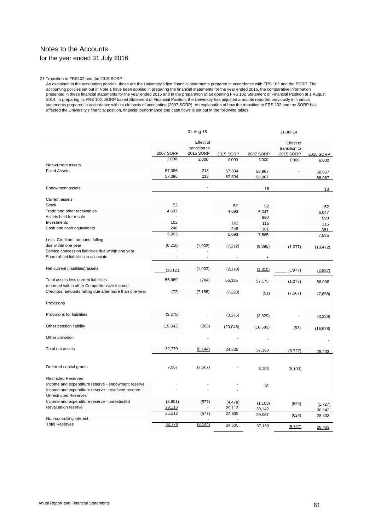# Notes to the Accounts for the year ended 31 July 2016

#### 21 Transition to FRS102 and the 2015 SORP

As explained in the accounting policies, these are the University's first financial statements prepared in accordance with FRS 102 and the SORP. The accounting policies set out in Note 1 have been applied in preparing the financial statements for the year ended 2016, the comparative information presented in these financial statements for the year ended 2015 and in the preparation of an opening FRS 102 Statement of Financial Position at 1 August 2014. In preparing its FRS 102, SORP based Statement of Financial Position, the University has adjusted amounts reported previously in financial statements prepared in accordance with its old basis of accounting (2007 SORP). An explanation of how the transition to FRS 102 and the SORP has affected the University's financial position, financial performance and cash flows is set out in the following tables:

|                                                                                      |                  | 01-Aug-15                               |                  |                  | 31-Jul-14                               |                  |
|--------------------------------------------------------------------------------------|------------------|-----------------------------------------|------------------|------------------|-----------------------------------------|------------------|
|                                                                                      | 2007 SORP        | Effect of<br>transition to<br>2015 SORP | 2015 SORP        | 2007 SORP        | Effect of<br>transition to<br>2015 SORP | 2015 SORP        |
|                                                                                      | £'000            | £'000                                   | £'000            | £'000            | £'000                                   | £'000            |
| Non-current assets                                                                   |                  |                                         |                  |                  |                                         |                  |
| <b>Fixed Assets</b>                                                                  | 57,086<br>57,086 | 218<br>218                              | 57,304<br>57,304 | 58,967<br>58,967 | $\overline{a}$                          | 58,967<br>58,967 |
| <b>Endowment assets</b>                                                              |                  |                                         |                  | 18               |                                         | 18               |
|                                                                                      |                  |                                         |                  |                  |                                         |                  |
| <b>Current assets</b>                                                                |                  |                                         |                  |                  |                                         |                  |
| <b>Stock</b>                                                                         | 52               |                                         | 52               | 52               |                                         | 52               |
| Trade and other receivables                                                          | 4,693            |                                         | 4,693            | 6,047            |                                         | 6.047            |
| Assets held for resale                                                               |                  |                                         |                  | 990              |                                         | 990              |
| Investments                                                                          | 102              |                                         | 102              | 115              |                                         | 115              |
| Cash and cash equivalents                                                            | 246              |                                         | 246              | 381              |                                         | 381              |
| Less: Creditors: amounts falling                                                     | 5,093            |                                         | 5,093            | 7,585            |                                         | 7,585            |
| due within one year                                                                  | (6,210)          | (1,002)                                 | (7, 212)         |                  |                                         |                  |
| Service concession liabilities due within one year                                   |                  |                                         |                  | (9, 395)         | (1.077)                                 | (10, 472)        |
| Share of net liabilities in associate                                                |                  |                                         |                  |                  |                                         |                  |
| Net current (liabilities)/assets                                                     | (1Ú1Z1           | (1,002)                                 | (2, 119)         | (1, 810)         | (1'977)                                 | (2,887)          |
| Total assets less current liabilities<br>recorded within other Comprehensive Income. | 55,969           | (784)                                   | 55,185           | 57,175           | (1,077)                                 | 56,098           |
| Creditors: amounts falling due after more than one year                              | (72)             | (7.156)                                 | (7.228)          | (91)             | (7, 567)                                | (7,658)          |
| Provisions                                                                           |                  |                                         |                  |                  |                                         |                  |
| Provisions for liabilities                                                           | (3,275)          |                                         | (3,275)          | (3,329)          |                                         | (3,329)          |
| Other pension liability                                                              | (19, 843)        | (205)                                   | (20, 048)        | (16, 595)        | (83)                                    | (16, 678)        |
| Other provision                                                                      |                  |                                         |                  |                  |                                         |                  |
| Total net assets                                                                     | 32,779           | (8, 144)                                | 24,635           | 37,160           | (8.727)                                 | 28.433           |
|                                                                                      |                  |                                         |                  |                  |                                         |                  |
| Deferred capital grants                                                              | 7,567            | (7, 567)                                |                  | 8,103            | (8, 103)                                |                  |
| <b>Restricted Reserves</b>                                                           |                  |                                         |                  |                  |                                         |                  |
| Income and expenditure reserve - endowment reserve                                   |                  |                                         |                  |                  |                                         |                  |
| Income and expenditure reserve - restricted reserve                                  |                  |                                         |                  | 18               |                                         |                  |
| <b>Unrestricted Reserves</b>                                                         |                  |                                         |                  |                  |                                         |                  |
| Income and expenditure reserve - unrestricted                                        | (3,901)          | (577)                                   | (4, 478)         | (1, 103)         | (624)                                   | (1,727)          |
| <b>Revaluation reserve</b>                                                           | 29,113           |                                         | 29,113           | 30,142           |                                         | 30 142           |
|                                                                                      | 25,212           | (577)                                   | 24,635           | 29,057           | (624)                                   | 28 4 33          |
| Non-controlling interest                                                             |                  |                                         |                  |                  |                                         |                  |
| <b>Total Reserves</b>                                                                | <u>32,779</u>    | (8, 144)                                | 24,635           | 37,160           | (8,727)                                 | 28,433           |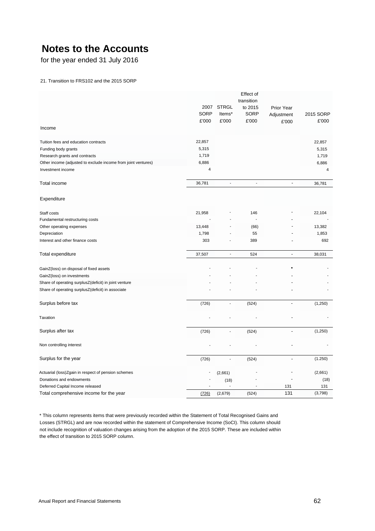for the year ended 31 July 2016

### 21. Transition to FRS102 and the 2015 SORP

|                                                               |                     |                 | Effect of              |                          |                    |
|---------------------------------------------------------------|---------------------|-----------------|------------------------|--------------------------|--------------------|
|                                                               |                     |                 | transition             |                          |                    |
|                                                               | 2007<br><b>SORP</b> | <b>STRGL</b>    | to 2015<br><b>SORP</b> | Prior Year               |                    |
|                                                               | £'000               | ltems*<br>£'000 | £'000                  | Adjustment               | 2015 SORP<br>£'000 |
| Income                                                        |                     |                 |                        | £'000                    |                    |
| Tuition fees and education contracts                          | 22,857              |                 |                        |                          | 22,857             |
| Funding body grants                                           | 5,315               |                 |                        |                          | 5,315              |
| Research grants and contracts                                 | 1,719               |                 |                        |                          | 1,719              |
| Other income (adjusted to exclude income from joint ventures) | 6,886               |                 |                        |                          | 6,886              |
| Investment income                                             | 4                   |                 |                        |                          | 4                  |
| Total income                                                  | 36,781              | $\overline{a}$  | $\overline{a}$         | $\overline{a}$           | 36,781             |
| Expenditure                                                   |                     |                 |                        |                          |                    |
| Staff costs                                                   | 21,958              |                 | 146                    |                          | 22,104             |
| Fundamental restructuring costs                               |                     |                 | L,                     |                          |                    |
| Other operating expenses                                      | 13,448              |                 | (66)                   |                          | 13,382             |
| Depreciation                                                  | 1,798               |                 | 55                     |                          | 1,853              |
| Interest and other finance costs                              | 303                 |                 | 389                    |                          | 692                |
| Total expenditure                                             | 37,507              | $\blacksquare$  | 524                    | $\overline{\phantom{a}}$ | 38,031             |
| GainZ(loss) on disposal of fixed assets                       |                     |                 |                        |                          |                    |
| GainZ(loss) on investments                                    |                     |                 |                        |                          |                    |
| Share of operating surplusZ(deficit) in joint venture         |                     |                 |                        |                          |                    |
| Share of operating surplusZ(deficit) in associate             |                     |                 |                        |                          |                    |
| Surplus before tax                                            | (726)               | $\overline{a}$  | (524)                  | $\overline{a}$           | (1,250)            |
| Taxation                                                      |                     |                 |                        |                          |                    |
| Surplus after tax                                             | (726)               |                 | (524)                  | $\overline{a}$           | (1,250)            |
| Non controlling interest                                      |                     |                 |                        |                          |                    |
| Surplus for the year                                          | (726)               |                 | (524)                  | $\overline{a}$           | (1.250)            |
| Actuarial (loss)Zgain in respect of pension schemes           |                     | (2,661)         |                        |                          | (2,661)            |
| Donations and endowments                                      |                     | (18)            |                        |                          | (18)               |
| Deferred Capital Income released                              |                     |                 |                        | 131                      | 131                |
| Total comprehensive income for the year                       | (726)               | (2,679)         | (524)                  | 131                      | (3,798)            |

<span id="page-62-0"></span>\* This column represents items that were previously recorded within the Statement of Total Recognised Gains and Losses (STRGL) and are now recorded within the statement of Comprehensive Income (SoCI). This column should not include recognition of valuation changes arising from the adoption of the 2015 SORP. These are included within the effect of transition to 2015 SORP column.